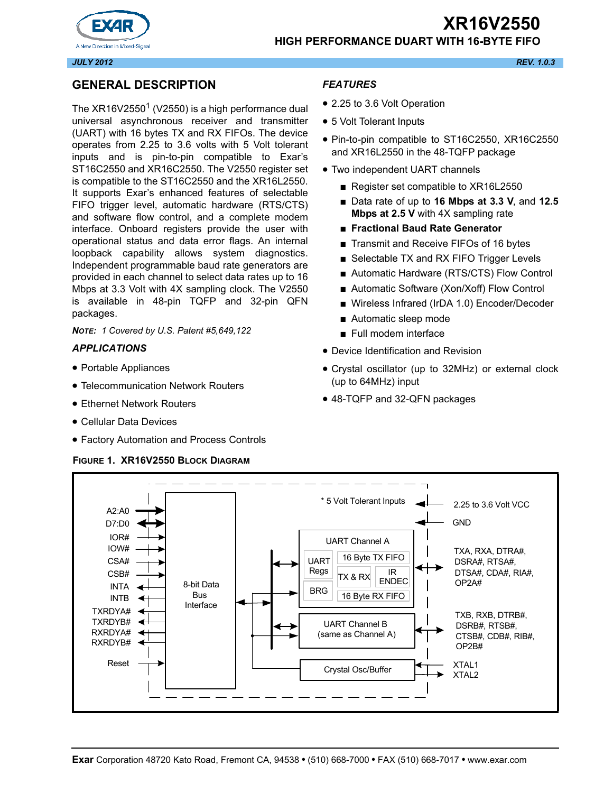

#### **HIGH PERFORMANCE DUART WITH 16-BYTE FIFO**



*JULY 2012 REV. 1.0.3*

# **GENERAL DESCRIPTION**

The XR16V2550<sup>1</sup> (V2550) is a high performance dual universal asynchronous receiver and transmitter (UART) with 16 bytes TX and RX FIFOs. The device operates from 2.25 to 3.6 volts with 5 Volt tolerant inputs and is pin-to-pin compatible to Exar's ST16C2550 and XR16C2550. The V2550 register set is compatible to the ST16C2550 and the XR16L2550. It supports Exar's enhanced features of selectable FIFO trigger level, automatic hardware (RTS/CTS) and software flow control, and a complete modem interface. Onboard registers provide the user with operational status and data error flags. An internal loopback capability allows system diagnostics. Independent programmable baud rate generators are provided in each channel to select data rates up to 16 Mbps at 3.3 Volt with 4X sampling clock. The V2550 is available in 48-pin TQFP and 32-pin QFN packages.

*NOTE: 1 Covered by U.S. Patent #5,649,122*

#### *APPLICATIONS*

- Portable Appliances
- Telecommunication Network Routers
- Ethernet Network Routers
- Cellular Data Devices
- Factory Automation and Process Controls

#### **FIGURE 1. XR16V2550 BLOCK DIAGRAM**

## *FEATURES*

- 2.25 to 3.6 Volt Operation
- 5 Volt Tolerant Inputs
- Pin-to-pin compatible to ST16C2550, XR16C2550 and XR16L2550 in the 48-TQFP package
- Two independent UART channels
	- Register set compatible to XR16L2550
	- Data rate of up to **16 Mbps at 3.3 V**, and **12.5 Mbps at 2.5 V** with 4X sampling rate
	- **Fractional Baud Rate Generator**
	- Transmit and Receive FIFOs of 16 bytes
	- Selectable TX and RX FIFO Trigger Levels
	- Automatic Hardware (RTS/CTS) Flow Control
	- Automatic Software (Xon/Xoff) Flow Control
	- Wireless Infrared (IrDA 1.0) Encoder/Decoder
	- Automatic sleep mode
	- Full modem interface
- Device Identification and Revision
- Crystal oscillator (up to 32MHz) or external clock (up to 64MHz) input
- 48-TQFP and 32-QFN packages

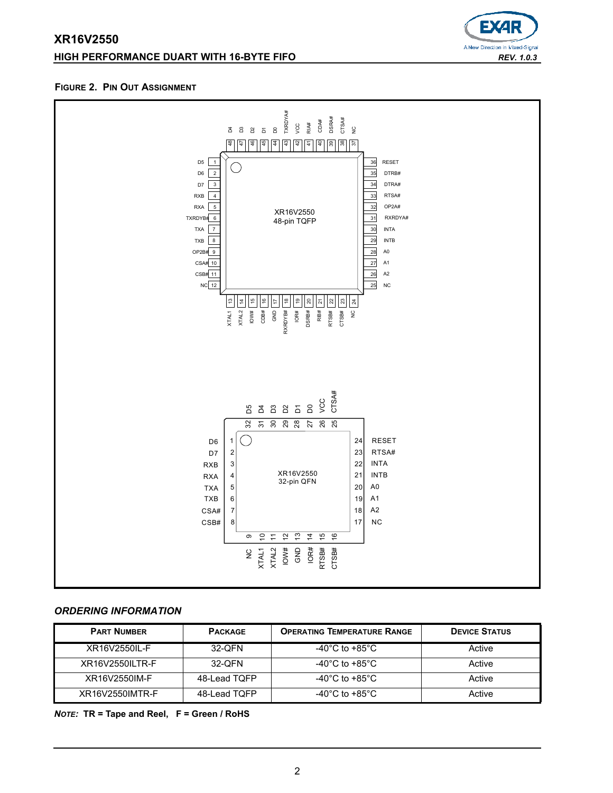# **XR16V2550 HIGH PERFORMANCE DUART WITH 16-BYTE FIFO** *REV. 1.0.3*



#### **FIGURE 2. PIN OUT ASSIGNMENT**



# *ORDERING INFORMATION*

| <b>PART NUMBER</b> | <b>PACKAGE</b> | <b>OPERATING TEMPERATURE RANGE</b>   | <b>DEVICE STATUS</b> |
|--------------------|----------------|--------------------------------------|----------------------|
| XR16V2550II-F      | 32-QFN         | -40 $^{\circ}$ C to +85 $^{\circ}$ C | Active               |
| XR16V2550ILTR-F    | 32-QFN         | -40 $^{\circ}$ C to +85 $^{\circ}$ C | Active               |
| XR16V2550IM-F      | 48-Lead TQFP   | -40 $^{\circ}$ C to +85 $^{\circ}$ C | Active               |
| XR16V2550IMTR-F    | 48-Lead TQFP   | -40°C to +85°C                       | Active               |

*NOTE:* **TR = Tape and Reel, F = Green / RoHS**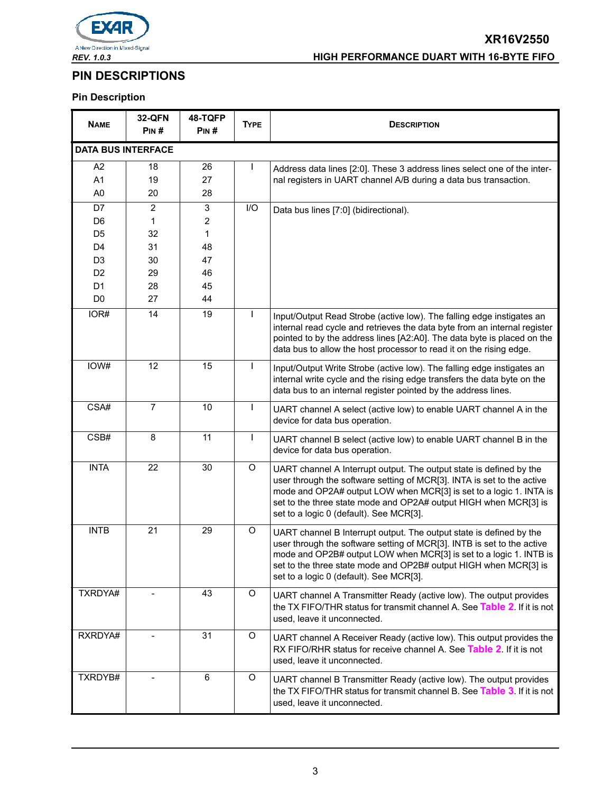

# **PIN DESCRIPTIONS**

# **Pin Description**

| <b>NAME</b>               | <b>32-QFN</b><br>PIN# | 48-TQFP<br>PIN# | <b>TYPE</b>  | <b>DESCRIPTION</b>                                                                                                                                                                                                                                                                                                                 |  |
|---------------------------|-----------------------|-----------------|--------------|------------------------------------------------------------------------------------------------------------------------------------------------------------------------------------------------------------------------------------------------------------------------------------------------------------------------------------|--|
| <b>DATA BUS INTERFACE</b> |                       |                 |              |                                                                                                                                                                                                                                                                                                                                    |  |
| A <sub>2</sub>            | 18                    | 26              | I.           | Address data lines [2:0]. These 3 address lines select one of the inter-                                                                                                                                                                                                                                                           |  |
| A1                        | 19                    | 27              |              | nal registers in UART channel A/B during a data bus transaction.                                                                                                                                                                                                                                                                   |  |
| A <sub>0</sub>            | 20                    | 28              |              |                                                                                                                                                                                                                                                                                                                                    |  |
| D7                        | 2                     | 3               | I/O          | Data bus lines [7:0] (bidirectional).                                                                                                                                                                                                                                                                                              |  |
| D <sub>6</sub>            | 1                     | $\overline{2}$  |              |                                                                                                                                                                                                                                                                                                                                    |  |
| D <sub>5</sub>            | 32                    | $\mathbf{1}$    |              |                                                                                                                                                                                                                                                                                                                                    |  |
| D <sub>4</sub>            | 31                    | 48              |              |                                                                                                                                                                                                                                                                                                                                    |  |
| D <sub>3</sub>            | 30                    | 47              |              |                                                                                                                                                                                                                                                                                                                                    |  |
| D <sub>2</sub>            | 29                    | 46              |              |                                                                                                                                                                                                                                                                                                                                    |  |
| D <sub>1</sub>            | 28                    | 45              |              |                                                                                                                                                                                                                                                                                                                                    |  |
| D <sub>0</sub>            | 27                    | 44              |              |                                                                                                                                                                                                                                                                                                                                    |  |
| IOR#                      | 14                    | 19              |              | Input/Output Read Strobe (active low). The falling edge instigates an<br>internal read cycle and retrieves the data byte from an internal register<br>pointed to by the address lines [A2:A0]. The data byte is placed on the<br>data bus to allow the host processor to read it on the rising edge.                               |  |
| IOW#                      | 12                    | 15              | $\mathbf{I}$ | Input/Output Write Strobe (active low). The falling edge instigates an<br>internal write cycle and the rising edge transfers the data byte on the<br>data bus to an internal register pointed by the address lines.                                                                                                                |  |
| CSA#                      | $\overline{7}$        | 10              | $\mathbf{I}$ | UART channel A select (active low) to enable UART channel A in the<br>device for data bus operation.                                                                                                                                                                                                                               |  |
| CSB#                      | 8                     | 11              | $\mathbf{I}$ | UART channel B select (active low) to enable UART channel B in the<br>device for data bus operation.                                                                                                                                                                                                                               |  |
| <b>INTA</b>               | 22                    | 30              | $\mathsf O$  | UART channel A Interrupt output. The output state is defined by the<br>user through the software setting of MCR[3]. INTA is set to the active<br>mode and OP2A# output LOW when MCR[3] is set to a logic 1. INTA is<br>set to the three state mode and OP2A# output HIGH when MCR[3] is<br>set to a logic 0 (default). See MCR[3]. |  |
| <b>INTB</b>               | 21                    | 29              | O            | UART channel B Interrupt output. The output state is defined by the<br>user through the software setting of MCR[3]. INTB is set to the active<br>mode and OP2B# output LOW when MCR[3] is set to a logic 1. INTB is<br>set to the three state mode and OP2B# output HIGH when MCR[3] is<br>set to a logic 0 (default). See MCR[3]. |  |
| TXRDYA#                   |                       | 43              | O            | UART channel A Transmitter Ready (active low). The output provides<br>the TX FIFO/THR status for transmit channel A. See Table 2. If it is not<br>used, leave it unconnected.                                                                                                                                                      |  |
| RXRDYA#                   | $\blacksquare$        | 31              | O            | UART channel A Receiver Ready (active low). This output provides the<br>RX FIFO/RHR status for receive channel A. See Table 2. If it is not<br>used, leave it unconnected.                                                                                                                                                         |  |
| TXRDYB#                   |                       | 6               | $\circ$      | UART channel B Transmitter Ready (active low). The output provides<br>the TX FIFO/THR status for transmit channel B. See Table 3. If it is not<br>used, leave it unconnected.                                                                                                                                                      |  |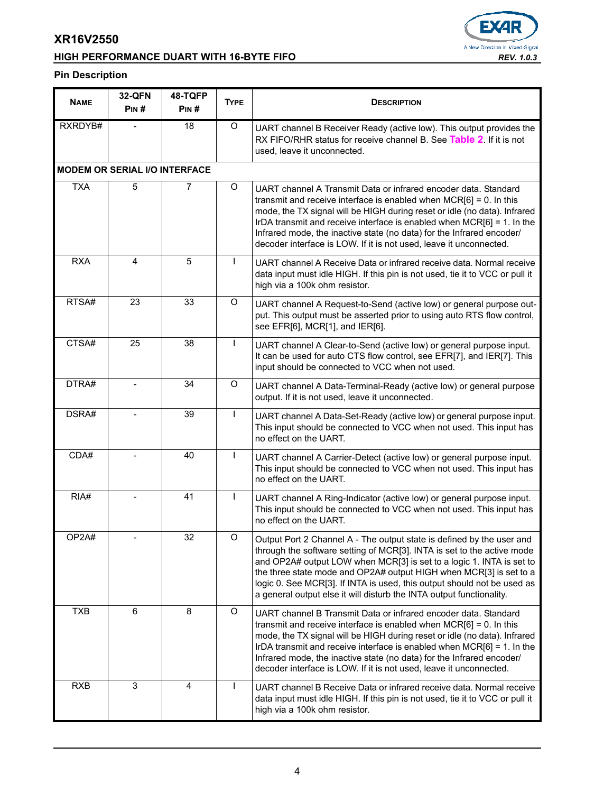# **HIGH PERFORMANCE DUART WITH 16-BYTE FIFO** *REV. 1.0.3*



# **Pin Description**

| <b>NAME</b> | <b>32-QFN</b><br>PIN#                | 48-TQFP<br>PIN# | <b>TYPE</b>    | <b>DESCRIPTION</b>                                                                                                                                                                                                                                                                                                                                                                                                                                |  |
|-------------|--------------------------------------|-----------------|----------------|---------------------------------------------------------------------------------------------------------------------------------------------------------------------------------------------------------------------------------------------------------------------------------------------------------------------------------------------------------------------------------------------------------------------------------------------------|--|
| RXRDYB#     |                                      | 18              | $\overline{O}$ | UART channel B Receiver Ready (active low). This output provides the<br>RX FIFO/RHR status for receive channel B. See Table 2. If it is not<br>used, leave it unconnected.                                                                                                                                                                                                                                                                        |  |
|             | <b>MODEM OR SERIAL I/O INTERFACE</b> |                 |                |                                                                                                                                                                                                                                                                                                                                                                                                                                                   |  |
| <b>TXA</b>  | 5                                    | 7               | O              | UART channel A Transmit Data or infrared encoder data. Standard<br>transmit and receive interface is enabled when $MCR[6] = 0$ . In this<br>mode, the TX signal will be HIGH during reset or idle (no data). Infrared<br>IrDA transmit and receive interface is enabled when MCR[6] = 1. In the<br>Infrared mode, the inactive state (no data) for the Infrared encoder/<br>decoder interface is LOW. If it is not used, leave it unconnected.    |  |
| <b>RXA</b>  | 4                                    | 5               | L              | UART channel A Receive Data or infrared receive data. Normal receive<br>data input must idle HIGH. If this pin is not used, tie it to VCC or pull it<br>high via a 100k ohm resistor.                                                                                                                                                                                                                                                             |  |
| RTSA#       | 23                                   | 33              | O              | UART channel A Request-to-Send (active low) or general purpose out-<br>put. This output must be asserted prior to using auto RTS flow control,<br>see EFR[6], MCR[1], and IER[6].                                                                                                                                                                                                                                                                 |  |
| CTSA#       | 25                                   | 38              | L              | UART channel A Clear-to-Send (active low) or general purpose input.<br>It can be used for auto CTS flow control, see EFR[7], and IER[7]. This<br>input should be connected to VCC when not used.                                                                                                                                                                                                                                                  |  |
| DTRA#       |                                      | 34              | O              | UART channel A Data-Terminal-Ready (active low) or general purpose<br>output. If it is not used, leave it unconnected.                                                                                                                                                                                                                                                                                                                            |  |
| DSRA#       |                                      | 39              | L              | UART channel A Data-Set-Ready (active low) or general purpose input.<br>This input should be connected to VCC when not used. This input has<br>no effect on the UART.                                                                                                                                                                                                                                                                             |  |
| CDA#        |                                      | 40              | L              | UART channel A Carrier-Detect (active low) or general purpose input.<br>This input should be connected to VCC when not used. This input has<br>no effect on the UART.                                                                                                                                                                                                                                                                             |  |
| RIA#        |                                      | 41              | L              | UART channel A Ring-Indicator (active low) or general purpose input.<br>This input should be connected to VCC when not used. This input has<br>no effect on the UART.                                                                                                                                                                                                                                                                             |  |
| OP2A#       |                                      | 32              | O              | Output Port 2 Channel A - The output state is defined by the user and<br>through the software setting of MCR[3]. INTA is set to the active mode<br>and OP2A# output LOW when MCR[3] is set to a logic 1. INTA is set to<br>the three state mode and OP2A# output HIGH when MCR[3] is set to a<br>logic 0. See MCR[3]. If INTA is used, this output should not be used as<br>a general output else it will disturb the INTA output functionality.  |  |
| <b>TXB</b>  | 6                                    | 8               | O              | UART channel B Transmit Data or infrared encoder data. Standard<br>transmit and receive interface is enabled when $MCR[6] = 0$ . In this<br>mode, the TX signal will be HIGH during reset or idle (no data). Infrared<br>IrDA transmit and receive interface is enabled when $MCR[6] = 1$ . In the<br>Infrared mode, the inactive state (no data) for the Infrared encoder/<br>decoder interface is LOW. If it is not used, leave it unconnected. |  |
| <b>RXB</b>  | 3                                    | 4               | L              | UART channel B Receive Data or infrared receive data. Normal receive<br>data input must idle HIGH. If this pin is not used, tie it to VCC or pull it<br>high via a 100k ohm resistor.                                                                                                                                                                                                                                                             |  |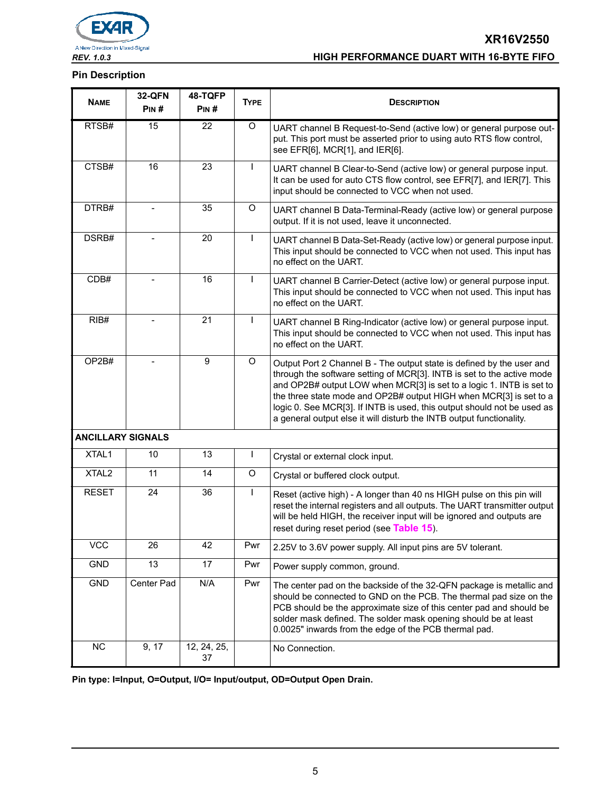

#### **Pin Description**

| <b>NAME</b>              | <b>32-QFN</b><br>PIN# | 48-TQFP<br>PIN#   | <b>TYPE</b>  | <b>DESCRIPTION</b>                                                                                                                                                                                                                                                                                                                                                                                                                               |  |
|--------------------------|-----------------------|-------------------|--------------|--------------------------------------------------------------------------------------------------------------------------------------------------------------------------------------------------------------------------------------------------------------------------------------------------------------------------------------------------------------------------------------------------------------------------------------------------|--|
| RTSB#                    | 15                    | 22                | O            | UART channel B Request-to-Send (active low) or general purpose out-<br>put. This port must be asserted prior to using auto RTS flow control,<br>see EFR[6], MCR[1], and IER[6].                                                                                                                                                                                                                                                                  |  |
| CTSB#                    | 16                    | 23                | T            | UART channel B Clear-to-Send (active low) or general purpose input.<br>It can be used for auto CTS flow control, see EFR[7], and IER[7]. This<br>input should be connected to VCC when not used.                                                                                                                                                                                                                                                 |  |
| DTRB#                    |                       | 35                | O            | UART channel B Data-Terminal-Ready (active low) or general purpose<br>output. If it is not used, leave it unconnected.                                                                                                                                                                                                                                                                                                                           |  |
| DSRB#                    |                       | 20                | T            | UART channel B Data-Set-Ready (active low) or general purpose input.<br>This input should be connected to VCC when not used. This input has<br>no effect on the UART.                                                                                                                                                                                                                                                                            |  |
| CDB#                     |                       | 16                | $\mathbf{I}$ | UART channel B Carrier-Detect (active low) or general purpose input.<br>This input should be connected to VCC when not used. This input has<br>no effect on the UART.                                                                                                                                                                                                                                                                            |  |
| RIB#                     |                       | 21                | $\mathbf{I}$ | UART channel B Ring-Indicator (active low) or general purpose input.<br>This input should be connected to VCC when not used. This input has<br>no effect on the UART.                                                                                                                                                                                                                                                                            |  |
| OP2B#                    |                       | 9                 | O            | Output Port 2 Channel B - The output state is defined by the user and<br>through the software setting of MCR[3]. INTB is set to the active mode<br>and OP2B# output LOW when MCR[3] is set to a logic 1. INTB is set to<br>the three state mode and OP2B# output HIGH when MCR[3] is set to a<br>logic 0. See MCR[3]. If INTB is used, this output should not be used as<br>a general output else it will disturb the INTB output functionality. |  |
| <b>ANCILLARY SIGNALS</b> |                       |                   |              |                                                                                                                                                                                                                                                                                                                                                                                                                                                  |  |
| XTAL1                    | 10                    | 13                | L            | Crystal or external clock input.                                                                                                                                                                                                                                                                                                                                                                                                                 |  |
| XTAL <sub>2</sub>        | 11                    | 14                | O            | Crystal or buffered clock output.                                                                                                                                                                                                                                                                                                                                                                                                                |  |
| <b>RESET</b>             | 24                    | 36                | ı            | Reset (active high) - A longer than 40 ns HIGH pulse on this pin will<br>reset the internal registers and all outputs. The UART transmitter output<br>will be held HIGH, the receiver input will be ignored and outputs are<br>reset during reset period (see Table 15).                                                                                                                                                                         |  |
| <b>VCC</b>               | 26                    | 42                | Pwr          | 2.25V to 3.6V power supply. All input pins are 5V tolerant.                                                                                                                                                                                                                                                                                                                                                                                      |  |
| <b>GND</b>               | 13                    | 17                | Pwr          | Power supply common, ground.                                                                                                                                                                                                                                                                                                                                                                                                                     |  |
| GND                      | Center Pad            | N/A               | Pwr          | The center pad on the backside of the 32-QFN package is metallic and<br>should be connected to GND on the PCB. The thermal pad size on the<br>PCB should be the approximate size of this center pad and should be<br>solder mask defined. The solder mask opening should be at least<br>0.0025" inwards from the edge of the PCB thermal pad.                                                                                                    |  |
| <b>NC</b>                | 9, 17                 | 12, 24, 25,<br>37 |              | No Connection.                                                                                                                                                                                                                                                                                                                                                                                                                                   |  |

**Pin type: I=Input, O=Output, I/O= Input/output, OD=Output Open Drain.**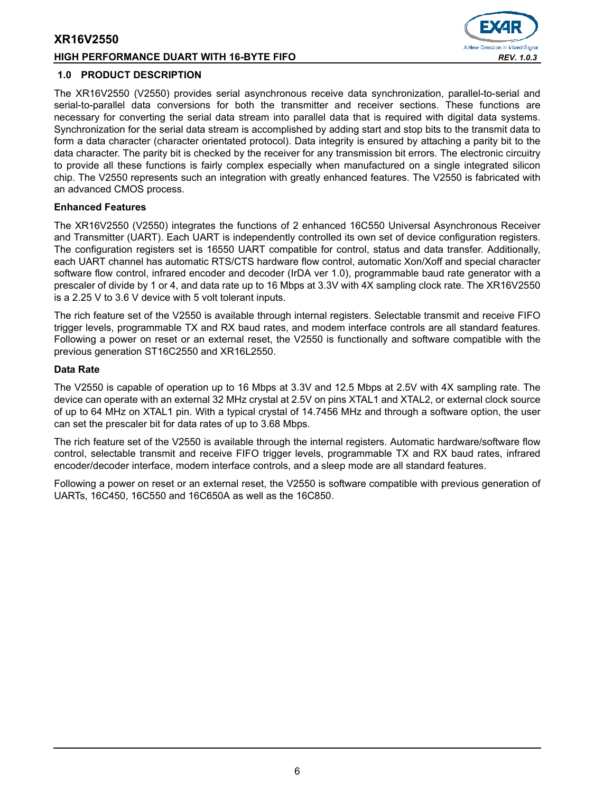#### **HIGH PERFORMANCE DUART WITH 16-BYTE FIFO** *REV. 1.0.3*



#### **1.0 PRODUCT DESCRIPTION**

The XR16V2550 (V2550) provides serial asynchronous receive data synchronization, parallel-to-serial and serial-to-parallel data conversions for both the transmitter and receiver sections. These functions are necessary for converting the serial data stream into parallel data that is required with digital data systems. Synchronization for the serial data stream is accomplished by adding start and stop bits to the transmit data to form a data character (character orientated protocol). Data integrity is ensured by attaching a parity bit to the data character. The parity bit is checked by the receiver for any transmission bit errors. The electronic circuitry to provide all these functions is fairly complex especially when manufactured on a single integrated silicon chip. The V2550 represents such an integration with greatly enhanced features. The V2550 is fabricated with an advanced CMOS process.

#### **Enhanced Features**

The XR16V2550 (V2550) integrates the functions of 2 enhanced 16C550 Universal Asynchronous Receiver and Transmitter (UART). Each UART is independently controlled its own set of device configuration registers. The configuration registers set is 16550 UART compatible for control, status and data transfer. Additionally, each UART channel has automatic RTS/CTS hardware flow control, automatic Xon/Xoff and special character software flow control, infrared encoder and decoder (IrDA ver 1.0), programmable baud rate generator with a prescaler of divide by 1 or 4, and data rate up to 16 Mbps at 3.3V with 4X sampling clock rate. The XR16V2550 is a 2.25 V to 3.6 V device with 5 volt tolerant inputs.

The rich feature set of the V2550 is available through internal registers. Selectable transmit and receive FIFO trigger levels, programmable TX and RX baud rates, and modem interface controls are all standard features. Following a power on reset or an external reset, the V2550 is functionally and software compatible with the previous generation ST16C2550 and XR16L2550.

#### **Data Rate**

The V2550 is capable of operation up to 16 Mbps at 3.3V and 12.5 Mbps at 2.5V with 4X sampling rate. The device can operate with an external 32 MHz crystal at 2.5V on pins XTAL1 and XTAL2, or external clock source of up to 64 MHz on XTAL1 pin. With a typical crystal of 14.7456 MHz and through a software option, the user can set the prescaler bit for data rates of up to 3.68 Mbps.

The rich feature set of the V2550 is available through the internal registers. Automatic hardware/software flow control, selectable transmit and receive FIFO trigger levels, programmable TX and RX baud rates, infrared encoder/decoder interface, modem interface controls, and a sleep mode are all standard features.

Following a power on reset or an external reset, the V2550 is software compatible with previous generation of UARTs, 16C450, 16C550 and 16C650A as well as the 16C850.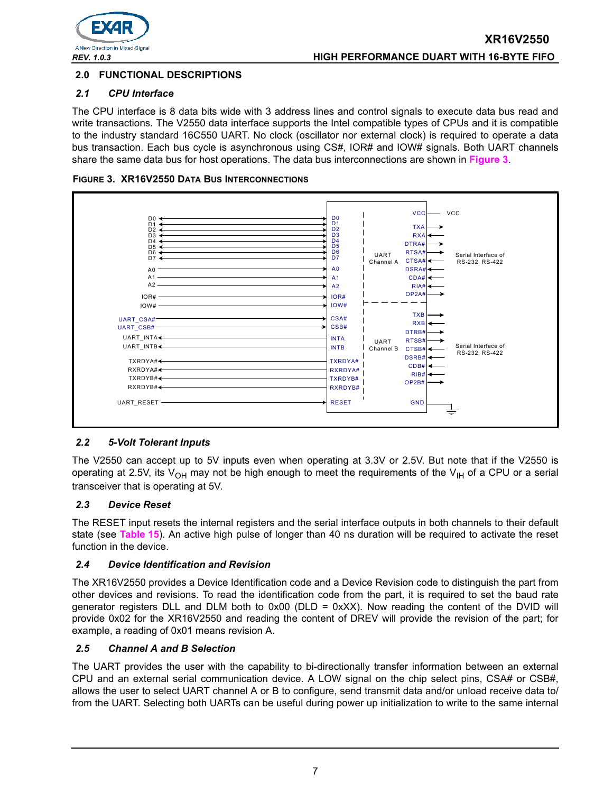

# **2.0 FUNCTIONAL DESCRIPTIONS**

# *2.1 CPU Interface*

The CPU interface is 8 data bits wide with 3 address lines and control signals to execute data bus read and write transactions. The V2550 data interface supports the Intel compatible types of CPUs and it is compatible to the industry standard 16C550 UART. No clock (oscillator nor external clock) is required to operate a data bus transaction. Each bus cycle is asynchronous using CS#, IOR# and IOW# signals. Both UART channels share the same data bus for host operations. The data bus interconnections are shown in **[Figure](#page-6-0) 3**.

<span id="page-6-0"></span>



# *2.2 5-Volt Tolerant Inputs*

The V2550 can accept up to 5V inputs even when operating at 3.3V or 2.5V. But note that if the V2550 is operating at 2.5V, its V<sub>OH</sub> may not be high enough to meet the requirements of the V<sub>IH</sub> of a CPU or a serial transceiver that is operating at 5V.

# *2.3 Device Reset*

The RESET input resets the internal registers and the serial interface outputs in both channels to their default state (see **[Table](#page-35-0) 15**). An active high pulse of longer than 40 ns duration will be required to activate the reset function in the device.

# *2.4 Device Identification and Revision*

The XR16V2550 provides a Device Identification code and a Device Revision code to distinguish the part from other devices and revisions. To read the identification code from the part, it is required to set the baud rate generator registers DLL and DLM both to  $0x00$  (DLD =  $0xXX$ ). Now reading the content of the DVID will provide 0x02 for the XR16V2550 and reading the content of DREV will provide the revision of the part; for example, a reading of 0x01 means revision A.

#### *2.5 Channel A and B Selection*

The UART provides the user with the capability to bi-directionally transfer information between an external CPU and an external serial communication device. A LOW signal on the chip select pins, CSA# or CSB#, allows the user to select UART channel A or B to configure, send transmit data and/or unload receive data to/ from the UART. Selecting both UARTs can be useful during power up initialization to write to the same internal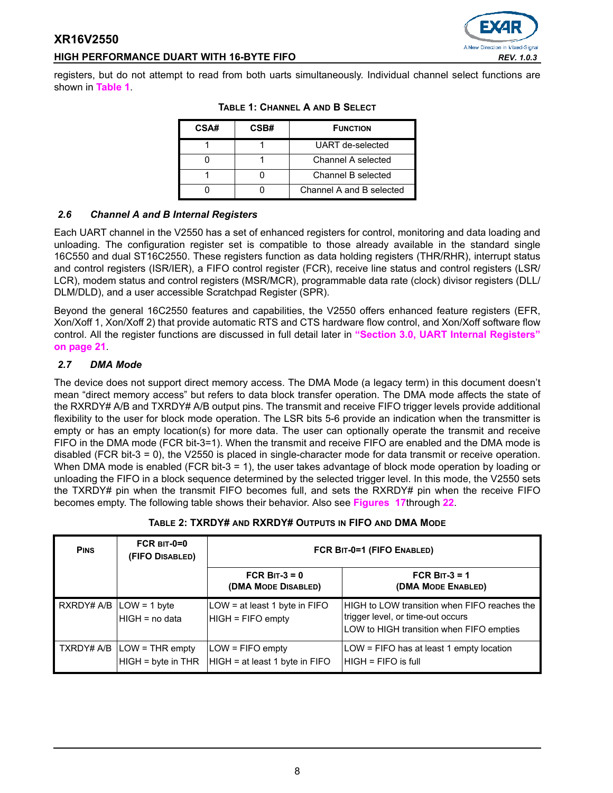# **HIGH PERFORMANCE DUART WITH 16-BYTE FIFO** *REV. 1.0.3*

A New Direction in Mixed-Signal

<span id="page-7-1"></span>registers, but do not attempt to read from both uarts simultaneously. Individual channel select functions are shown in **[Table](#page-7-1) 1**.

| CSA# | CSB#               | <b>FUNCTION</b>          |
|------|--------------------|--------------------------|
|      |                    | UART de-selected         |
|      |                    | Channel A selected       |
|      | Channel B selected |                          |
|      |                    | Channel A and B selected |

#### **TABLE 1: CHANNEL A AND B SELECT**

# *2.6 Channel A and B Internal Registers*

Each UART channel in the V2550 has a set of enhanced registers for control, monitoring and data loading and unloading. The configuration register set is compatible to those already available in the standard single 16C550 and dual ST16C2550. These registers function as data holding registers (THR/RHR), interrupt status and control registers (ISR/IER), a FIFO control register (FCR), receive line status and control registers (LSR/ LCR), modem status and control registers (MSR/MCR), programmable data rate (clock) divisor registers (DLL/ DLM/DLD), and a user accessible Scratchpad Register (SPR).

Beyond the general 16C2550 features and capabilities, the V2550 offers enhanced feature registers (EFR, Xon/Xoff 1, Xon/Xoff 2) that provide automatic RTS and CTS hardware flow control, and Xon/Xoff software flow control. All the register functions are discussed in full detail later in **["Section 3.0, UART Internal Registers"](#page-20-0)  [on page](#page-20-0) 21**.

# *2.7 DMA Mode*

The device does not support direct memory access. The DMA Mode (a legacy term) in this document doesn't mean "direct memory access" but refers to data block transfer operation. The DMA mode affects the state of the RXRDY# A/B and TXRDY# A/B output pins. The transmit and receive FIFO trigger levels provide additional flexibility to the user for block mode operation. The LSR bits 5-6 provide an indication when the transmitter is empty or has an empty location(s) for more data. The user can optionally operate the transmit and receive FIFO in the DMA mode (FCR bit-3=1). When the transmit and receive FIFO are enabled and the DMA mode is disabled (FCR bit-3 = 0), the V2550 is placed in single-character mode for data transmit or receive operation. When DMA mode is enabled (FCR bit-3 = 1), the user takes advantage of block mode operation by loading or unloading the FIFO in a block sequence determined by the selected trigger level. In this mode, the V2550 sets the TXRDY# pin when the transmit FIFO becomes full, and sets the RXRDY# pin when the receive FIFO becomes empty. The following table shows their behavior. Also see **[Figures 17](#page-40-0)**through **[22](#page-42-0)**.

<span id="page-7-0"></span>

| <b>PINS</b>                | $FCR$ BIT-0=0<br>(FIFO DISABLED)                                                                     | FCR BIT-0=1 (FIFO ENABLED)                           |                                                                                                                               |  |  |
|----------------------------|------------------------------------------------------------------------------------------------------|------------------------------------------------------|-------------------------------------------------------------------------------------------------------------------------------|--|--|
|                            |                                                                                                      | FCR BIT-3 = $0$<br>(DMA MODE DISABLED)               | FCR BIT-3 = $1$<br>(DMA MODE ENABLED)                                                                                         |  |  |
| $RXROPH A/B  LOW = 1 byte$ | HIGH = no data                                                                                       | LOW = at least 1 byte in FIFO<br>$HIGH = FIFO$ empty | HIGH to LOW transition when FIFO reaches the<br>trigger level, or time-out occurs<br>LOW to HIGH transition when FIFO empties |  |  |
|                            | $\overline{\phantom{a}}$ TXRDY# A/B $\overline{\phantom{a}}$ LOW = THR empty<br>$HIGH = byte in THR$ | $LOW = FIFO$ empty<br>HIGH = at least 1 byte in FIFO | $LOW = FIFO$ has at least 1 empty location<br>IHIGH = FIFO is full                                                            |  |  |

# **TABLE 2: TXRDY# AND RXRDY# OUTPUTS IN FIFO AND DMA MODE**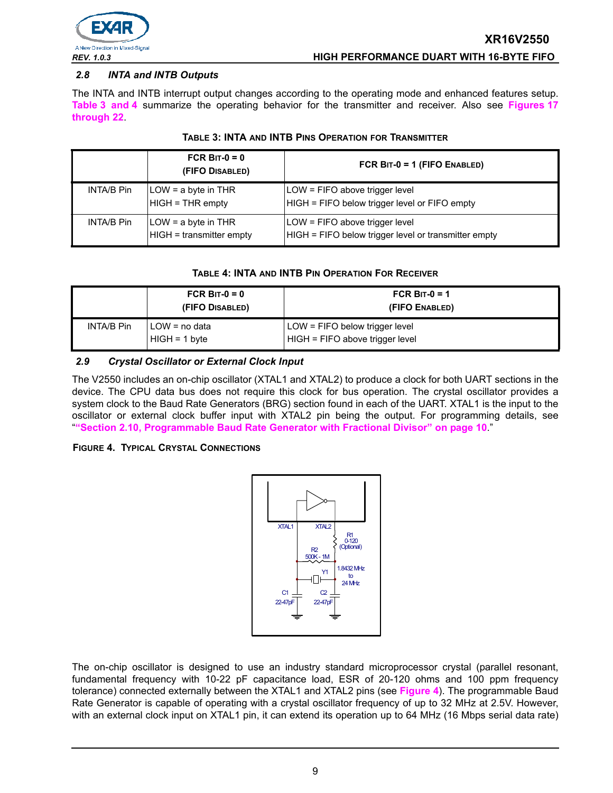

# *2.8 INTA and INTB Outputs*

The INTA and INTB interrupt output changes according to the operating mode and enhanced features setup. **[Table](#page-8-0) 3 [and](#page-8-1) 4** summarize the operating behavior for the transmitter and receiver. Also see **Figures [17](#page-40-0) through [22](#page-42-0)**.

<span id="page-8-0"></span>

|                   | FCR BIT- $0 = 0$<br>(FIFO DISABLED)               | FCR BIT-0 = 1 (FIFO ENABLED)                                                           |
|-------------------|---------------------------------------------------|----------------------------------------------------------------------------------------|
| INTA/B Pin        | $LOW = a$ byte in THR<br>$HIGH = THR$ empty       | LOW = FIFO above trigger level<br>HIGH = FIFO below trigger level or FIFO empty        |
| <b>INTA/B Pin</b> | $LOW = a$ byte in THR<br>HIGH = transmitter empty | LOW = FIFO above trigger level<br>HIGH = FIFO below trigger level or transmitter empty |

#### **TABLE 3: INTA AND INTB PINS OPERATION FOR TRANSMITTER**

#### **TABLE 4: INTA AND INTB PIN OPERATION FOR RECEIVER**

<span id="page-8-1"></span>

|            | FCR BIT- $0 = 0$<br>(FIFO DISABLED) | FCR BIT-0 = 1<br>(FIFO ENABLED)                                     |  |
|------------|-------------------------------------|---------------------------------------------------------------------|--|
| INTA/B Pin | I LOW = no data<br>$HIGH = 1 byte$  | $LOW = FIFO$ below trigger level<br>HIGH = FIFO above trigger level |  |

#### *2.9 Crystal Oscillator or External Clock Input*

The V2550 includes an on-chip oscillator (XTAL1 and XTAL2) to produce a clock for both UART sections in the device. The CPU data bus does not require this clock for bus operation. The crystal oscillator provides a system clock to the Baud Rate Generators (BRG) section found in each of the UART. XTAL1 is the input to the oscillator or external clock buffer input with XTAL2 pin being the output. For programming details, see "**["Section 2.10, Programmable Baud Rate Generator with Fractional Divisor" on page](#page-9-0) 10**."

#### <span id="page-8-2"></span>**FIGURE 4. TYPICAL CRYSTAL CONNECTIONS**



The on-chip oscillator is designed to use an industry standard microprocessor crystal (parallel resonant, fundamental frequency with 10-22 pF capacitance load, ESR of 20-120 ohms and 100 ppm frequency tolerance) connected externally between the XTAL1 and XTAL2 pins (see **[Figure](#page-8-2) 4**). The programmable Baud Rate Generator is capable of operating with a crystal oscillator frequency of up to 32 MHz at 2.5V. However, with an external clock input on XTAL1 pin, it can extend its operation up to 64 MHz (16 Mbps serial data rate)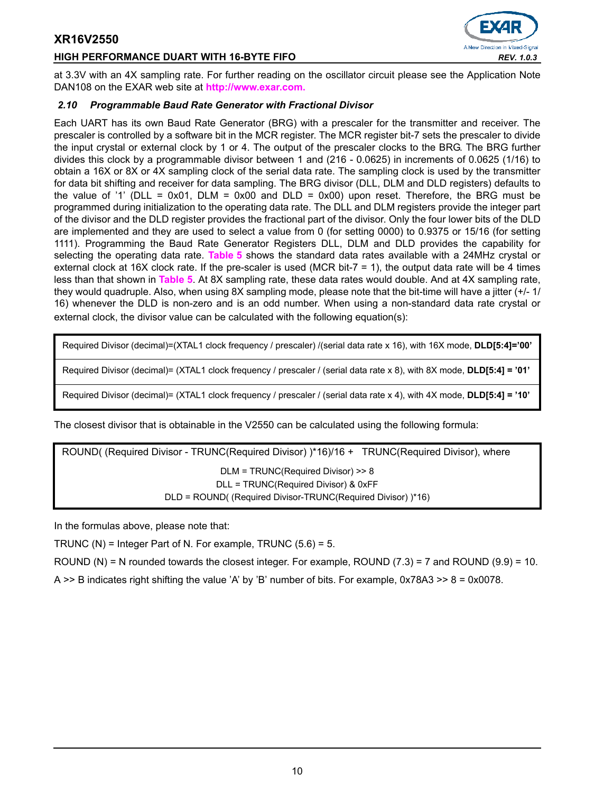## **HIGH PERFORMANCE DUART WITH 16-BYTE FIFO** *REV. 1.0.3*



at 3.3V with an 4X sampling rate. For further reading on the oscillator circuit please see the Application Note DAN108 on the EXAR web site at **[http://www.exar.com.](http://exar.com)**

# <span id="page-9-0"></span>*2.10 Programmable Baud Rate Generator with Fractional Divisor*

Each UART has its own Baud Rate Generator (BRG) with a prescaler for the transmitter and receiver. The prescaler is controlled by a software bit in the MCR register. The MCR register bit-7 sets the prescaler to divide the input crystal or external clock by 1 or 4. The output of the prescaler clocks to the BRG. The BRG further divides this clock by a programmable divisor between 1 and (216 - 0.0625) in increments of 0.0625 (1/16) to obtain a 16X or 8X or 4X sampling clock of the serial data rate. The sampling clock is used by the transmitter for data bit shifting and receiver for data sampling. The BRG divisor (DLL, DLM and DLD registers) defaults to the value of '1' (DLL = 0x01, DLM = 0x00 and DLD = 0x00) upon reset. Therefore, the BRG must be programmed during initialization to the operating data rate. The DLL and DLM registers provide the integer part of the divisor and the DLD register provides the fractional part of the divisor. Only the four lower bits of the DLD are implemented and they are used to select a value from 0 (for setting 0000) to 0.9375 or 15/16 (for setting 1111). Programming the Baud Rate Generator Registers DLL, DLM and DLD provides the capability for selecting the operating data rate. **[Table](#page-10-0) 5** shows the standard data rates available with a 24MHz crystal or external clock at 16X clock rate. If the pre-scaler is used (MCR bit-7 = 1), the output data rate will be 4 times less than that shown in **[Table](#page-10-0) 5**. At 8X sampling rate, these data rates would double. And at 4X sampling rate, they would quadruple. Also, when using 8X sampling mode, please note that the bit-time will have a jitter (+/- 1/ 16) whenever the DLD is non-zero and is an odd number. When using a non-standard data rate crystal or external clock, the divisor value can be calculated with the following equation(s):

Required Divisor (decimal)=(XTAL1 clock frequency / prescaler) /(serial data rate x 16), with 16X mode, **DLD[5:4]='00'**

Required Divisor (decimal)= (XTAL1 clock frequency / prescaler / (serial data rate x 8), with 8X mode, **DLD[5:4] = '01'**

Required Divisor (decimal)= (XTAL1 clock frequency / prescaler / (serial data rate x 4), with 4X mode, **DLD[5:4] = '10'**

The closest divisor that is obtainable in the V2550 can be calculated using the following formula:

ROUND( (Required Divisor - TRUNC(Required Divisor) )\*16)/16 + TRUNC(Required Divisor), where DLM = TRUNC(Required Divisor) >> 8 DLL = TRUNC(Required Divisor) & 0xFF DLD = ROUND( (Required Divisor-TRUNC(Required Divisor) )\*16)

In the formulas above, please note that:

TRUNC (N) = Integer Part of N. For example, TRUNC  $(5.6) = 5$ .

ROUND (N) = N rounded towards the closest integer. For example, ROUND (7.3) = 7 and ROUND (9.9) = 10.

A  $\geq$  B indicates right shifting the value 'A' by 'B' number of bits. For example, 0x78A3  $\geq$  8 = 0x0078.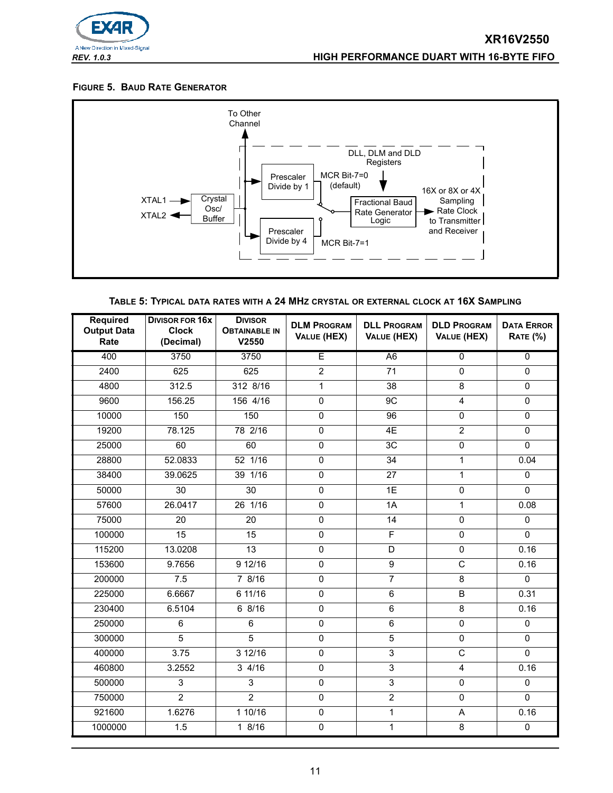

#### **FIGURE 5. BAUD RATE GENERATOR**



| TABLE 5: TYPICAL DATA RATES WITH A 24 MHZ CRYSTAL OR EXTERNAL CLOCK AT 16X SAMPLING |  |
|-------------------------------------------------------------------------------------|--|
|-------------------------------------------------------------------------------------|--|

<span id="page-10-0"></span>

| <b>Required</b><br><b>Output Data</b><br>Rate | <b>DIVISOR FOR 16X</b><br><b>Clock</b><br>(Decimal) | <b>DIVISOR</b><br><b>OBTAINABLE IN</b><br>V2550 | <b>DLM PROGRAM</b><br>VALUE (HEX) | <b>DLL PROGRAM</b><br>VALUE (HEX) | <b>DLD PROGRAM</b><br>VALUE (HEX) | <b>DATA ERROR</b><br><b>RATE (%)</b> |
|-----------------------------------------------|-----------------------------------------------------|-------------------------------------------------|-----------------------------------|-----------------------------------|-----------------------------------|--------------------------------------|
| 400                                           | 3750                                                | 3750                                            | E                                 | A <sub>6</sub>                    | $\overline{0}$                    | $\overline{0}$                       |
| 2400                                          | 625                                                 | 625                                             | $\overline{2}$                    | 71                                | $\mathsf 0$                       | 0                                    |
| 4800                                          | 312.5                                               | 312 8/16                                        | $\mathbf{1}$                      | $\overline{38}$                   | $\overline{8}$                    | $\mathbf{0}$                         |
| 9600                                          | 156.25                                              | 156 4/16                                        | $\mathsf 0$                       | 9C                                | $\overline{4}$                    | $\mathbf 0$                          |
| 10000                                         | 150                                                 | 150                                             | $\overline{0}$                    | 96                                | 0                                 | 0                                    |
| 19200                                         | 78.125                                              | 78 2/16                                         | 0                                 | 4E                                | $\overline{2}$                    | $\Omega$                             |
| 25000                                         | 60                                                  | 60                                              | $\overline{0}$                    | 3C                                | $\overline{0}$                    | $\Omega$                             |
| 28800                                         | 52.0833                                             | 52 1/16                                         | $\pmb{0}$                         | 34                                | $\mathbf{1}$                      | 0.04                                 |
| 38400                                         | 39.0625                                             | 39 1/16                                         | $\overline{0}$                    | 27                                | $\mathbf{1}$                      | $\Omega$                             |
| 50000                                         | 30                                                  | 30                                              | $\mathsf 0$                       | 1E                                | $\mathsf 0$                       | $\mathbf 0$                          |
| 57600                                         | 26.0417                                             | 26 1/16                                         | 0                                 | 1A                                | $\mathbf{1}$                      | 0.08                                 |
| 75000                                         | 20                                                  | 20                                              | 0                                 | 14                                | $\pmb{0}$                         | $\mathbf{0}$                         |
| 100000                                        | $\overline{15}$                                     | $\overline{15}$                                 | 0                                 | F                                 | 0                                 | $\Omega$                             |
| 115200                                        | 13.0208                                             | $\overline{13}$                                 | $\mathsf{O}\xspace$               | D                                 | $\mathsf 0$                       | 0.16                                 |
| 153600                                        | 9.7656                                              | 9 12/16                                         | 0                                 | 9                                 | C                                 | 0.16                                 |
| 200000                                        | 7.5                                                 | 78/16                                           | $\overline{0}$                    | $\overline{7}$                    | $\overline{8}$                    | $\Omega$                             |
| 225000                                        | 6.6667                                              | 6 11/16                                         | $\pmb{0}$                         | 6                                 | B                                 | 0.31                                 |
| 230400                                        | 6.5104                                              | 68/16                                           | $\overline{0}$                    | 6                                 | $\overline{8}$                    | 0.16                                 |
| 250000                                        | 6                                                   | 6                                               | 0                                 | $\overline{6}$                    | $\mathbf 0$                       | $\mathbf{0}$                         |
| 300000                                        | 5                                                   | $\overline{5}$                                  | $\overline{0}$                    | $\overline{5}$                    | $\overline{0}$                    | 0                                    |
| 400000                                        | 3.75                                                | 3 12/16                                         | 0                                 | $\overline{3}$                    | C                                 | $\Omega$                             |
| 460800                                        | 3.2552                                              | $3 \frac{4}{16}$                                | $\overline{0}$                    | $\overline{3}$                    | $\overline{4}$                    | 0.16                                 |
| 500000                                        | 3                                                   | 3                                               | $\pmb{0}$                         | $\overline{3}$                    | $\pmb{0}$                         | 0                                    |
| 750000                                        | $\overline{2}$                                      | $\overline{2}$                                  | $\Omega$                          | $\overline{2}$                    | $\mathbf{0}$                      | $\Omega$                             |
| 921600                                        | 1.6276                                              | 110/16                                          | $\pmb{0}$                         | $\mathbf{1}$                      | A                                 | 0.16                                 |
| 1000000                                       | 1.5                                                 | 18/16                                           | $\overline{0}$                    | 1                                 | 8                                 | $\mathsf 0$                          |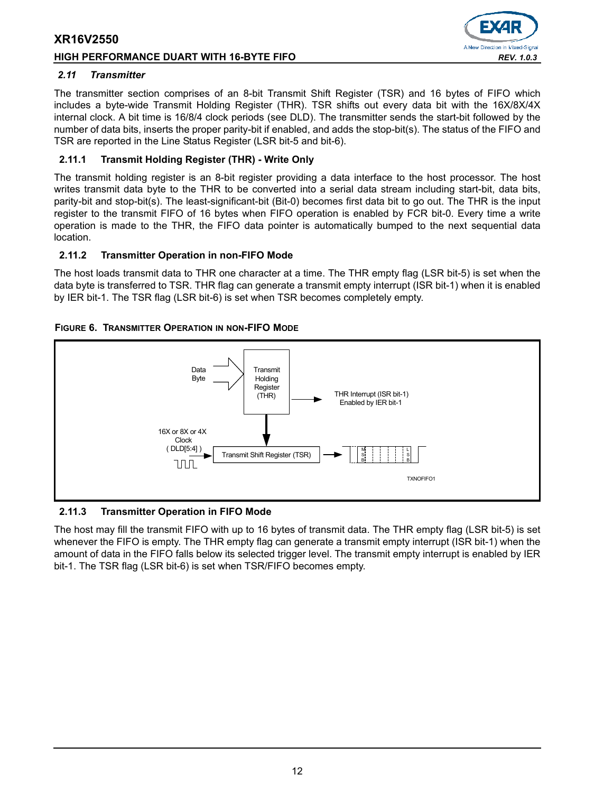#### **HIGH PERFORMANCE DUART WITH 16-BYTE FIFO** *REV. 1.0.3*



## <span id="page-11-0"></span>*2.11 Transmitter*

The transmitter section comprises of an 8-bit Transmit Shift Register (TSR) and 16 bytes of FIFO which includes a byte-wide Transmit Holding Register (THR). TSR shifts out every data bit with the 16X/8X/4X internal clock. A bit time is 16/8/4 clock periods (see DLD). The transmitter sends the start-bit followed by the number of data bits, inserts the proper parity-bit if enabled, and adds the stop-bit(s). The status of the FIFO and TSR are reported in the Line Status Register (LSR bit-5 and bit-6).

# **2.11.1 Transmit Holding Register (THR) - Write Only**

The transmit holding register is an 8-bit register providing a data interface to the host processor. The host writes transmit data byte to the THR to be converted into a serial data stream including start-bit, data bits, parity-bit and stop-bit(s). The least-significant-bit (Bit-0) becomes first data bit to go out. The THR is the input register to the transmit FIFO of 16 bytes when FIFO operation is enabled by FCR bit-0. Every time a write operation is made to the THR, the FIFO data pointer is automatically bumped to the next sequential data location.

# **2.11.2 Transmitter Operation in non-FIFO Mode**

The host loads transmit data to THR one character at a time. The THR empty flag (LSR bit-5) is set when the data byte is transferred to TSR. THR flag can generate a transmit empty interrupt (ISR bit-1) when it is enabled by IER bit-1. The TSR flag (LSR bit-6) is set when TSR becomes completely empty.

# **FIGURE 6. TRANSMITTER OPERATION IN NON-FIFO MODE**



# **2.11.3 Transmitter Operation in FIFO Mode**

The host may fill the transmit FIFO with up to 16 bytes of transmit data. The THR empty flag (LSR bit-5) is set whenever the FIFO is empty. The THR empty flag can generate a transmit empty interrupt (ISR bit-1) when the amount of data in the FIFO falls below its selected trigger level. The transmit empty interrupt is enabled by IER bit-1. The TSR flag (LSR bit-6) is set when TSR/FIFO becomes empty.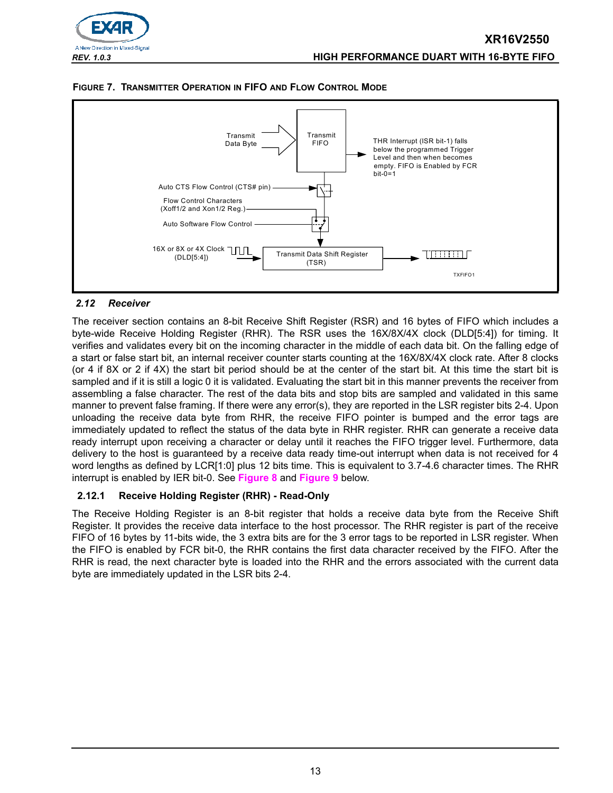





# <span id="page-12-0"></span>*2.12 Receiver*

The receiver section contains an 8-bit Receive Shift Register (RSR) and 16 bytes of FIFO which includes a byte-wide Receive Holding Register (RHR). The RSR uses the 16X/8X/4X clock (DLD[5:4]) for timing. It verifies and validates every bit on the incoming character in the middle of each data bit. On the falling edge of a start or false start bit, an internal receiver counter starts counting at the 16X/8X/4X clock rate. After 8 clocks (or 4 if 8X or 2 if 4X) the start bit period should be at the center of the start bit. At this time the start bit is sampled and if it is still a logic 0 it is validated. Evaluating the start bit in this manner prevents the receiver from assembling a false character. The rest of the data bits and stop bits are sampled and validated in this same manner to prevent false framing. If there were any error(s), they are reported in the LSR register bits 2-4. Upon unloading the receive data byte from RHR, the receive FIFO pointer is bumped and the error tags are immediately updated to reflect the status of the data byte in RHR register. RHR can generate a receive data ready interrupt upon receiving a character or delay until it reaches the FIFO trigger level. Furthermore, data delivery to the host is guaranteed by a receive data ready time-out interrupt when data is not received for 4 word lengths as defined by LCR[1:0] plus 12 bits time. This is equivalent to 3.7-4.6 character times. The RHR interrupt is enabled by IER bit-0. See **[Figure](#page-13-0) 8** and **[Figure](#page-13-1) 9** below.

# **2.12.1 Receive Holding Register (RHR) - Read-Only**

The Receive Holding Register is an 8-bit register that holds a receive data byte from the Receive Shift Register. It provides the receive data interface to the host processor. The RHR register is part of the receive FIFO of 16 bytes by 11-bits wide, the 3 extra bits are for the 3 error tags to be reported in LSR register. When the FIFO is enabled by FCR bit-0, the RHR contains the first data character received by the FIFO. After the RHR is read, the next character byte is loaded into the RHR and the errors associated with the current data byte are immediately updated in the LSR bits 2-4.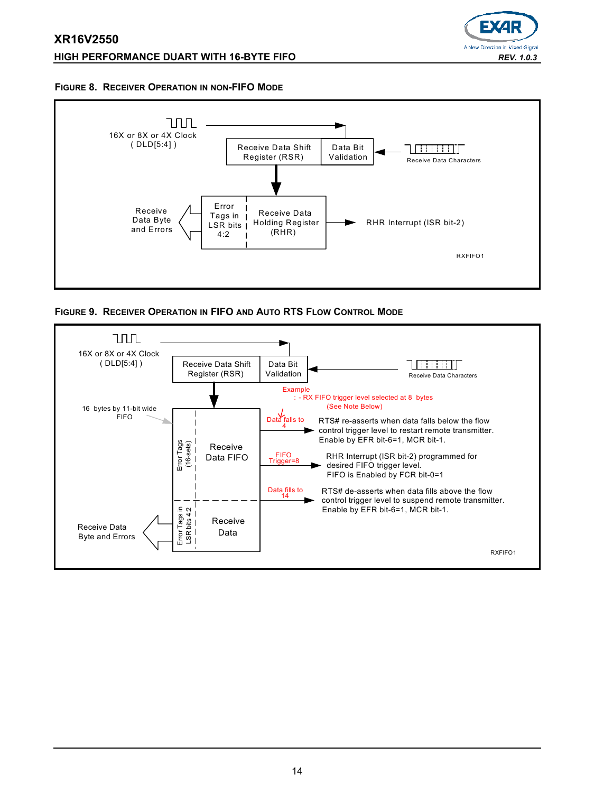# **XR16V2550 HIGH PERFORMANCE DUART WITH 16-BYTE FIFO** *REV. 1.0.3*



#### <span id="page-13-0"></span>**FIGURE 8. RECEIVER OPERATION IN NON-FIFO MODE**



<span id="page-13-1"></span>**FIGURE 9. RECEIVER OPERATION IN FIFO AND AUTO RTS FLOW CONTROL MODE**

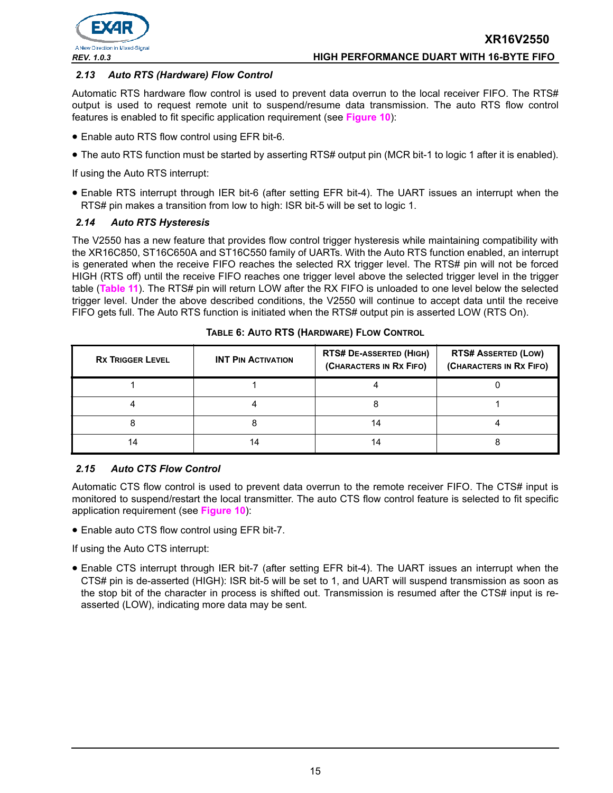

# *2.13 Auto RTS (Hardware) Flow Control*

Automatic RTS hardware flow control is used to prevent data overrun to the local receiver FIFO. The RTS# output is used to request remote unit to suspend/resume data transmission. The auto RTS flow control features is enabled to fit specific application requirement (see **[Figure](#page-15-0) 10**):

- Enable auto RTS flow control using EFR bit-6.
- The auto RTS function must be started by asserting RTS# output pin (MCR bit-1 to logic 1 after it is enabled).

If using the Auto RTS interrupt:

• Enable RTS interrupt through IER bit-6 (after setting EFR bit-4). The UART issues an interrupt when the RTS# pin makes a transition from low to high: ISR bit-5 will be set to logic 1.

# *2.14 Auto RTS Hysteresis*

The V2550 has a new feature that provides flow control trigger hysteresis while maintaining compatibility with the XR16C850, ST16C650A and ST16C550 family of UARTs. With the Auto RTS function enabled, an interrupt is generated when the receive FIFO reaches the selected RX trigger level. The RTS# pin will not be forced HIGH (RTS off) until the receive FIFO reaches one trigger level above the selected trigger level in the trigger table (**[Table](#page-26-0) 11**). The RTS# pin will return LOW after the RX FIFO is unloaded to one level below the selected trigger level. Under the above described conditions, the V2550 will continue to accept data until the receive FIFO gets full. The Auto RTS function is initiated when the RTS# output pin is asserted LOW (RTS On).

| <b>RX TRIGGER LEVEL</b> | <b>INT PIN ACTIVATION</b> | <b>RTS# DE-ASSERTED (HIGH)</b><br>(CHARACTERS IN RX FIFO) | <b>RTS# ASSERTED (LOW)</b><br>(CHARACTERS IN RX FIFO) |
|-------------------------|---------------------------|-----------------------------------------------------------|-------------------------------------------------------|
|                         |                           |                                                           |                                                       |
|                         |                           |                                                           |                                                       |
|                         |                           | 14                                                        |                                                       |
| 14                      | ، 4                       | 14                                                        |                                                       |

#### **TABLE 6: AUTO RTS (HARDWARE) FLOW CONTROL**

#### *2.15 Auto CTS Flow Control*

Automatic CTS flow control is used to prevent data overrun to the remote receiver FIFO. The CTS# input is monitored to suspend/restart the local transmitter. The auto CTS flow control feature is selected to fit specific application requirement (see **[Figure](#page-15-0) 10**):

• Enable auto CTS flow control using EFR bit-7.

If using the Auto CTS interrupt:

• Enable CTS interrupt through IER bit-7 (after setting EFR bit-4). The UART issues an interrupt when the CTS# pin is de-asserted (HIGH): ISR bit-5 will be set to 1, and UART will suspend transmission as soon as the stop bit of the character in process is shifted out. Transmission is resumed after the CTS# input is reasserted (LOW), indicating more data may be sent.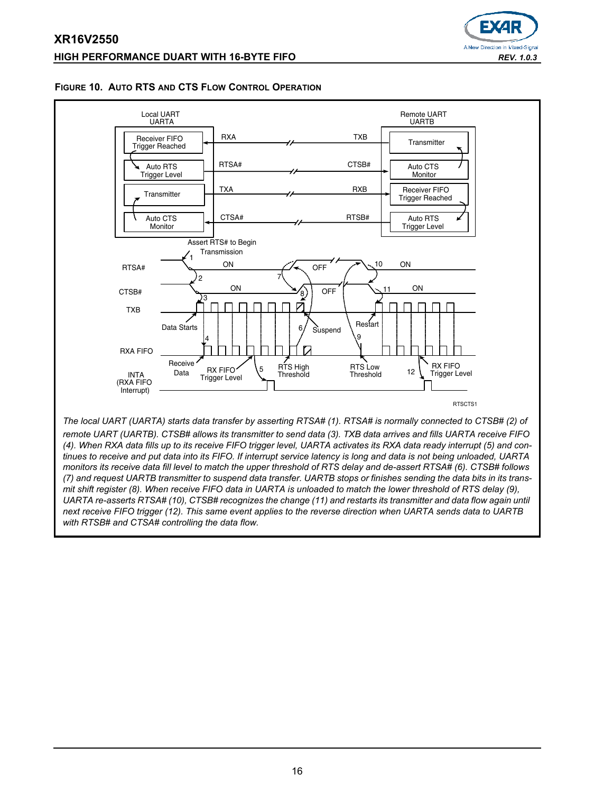# **XR16V2550 HIGH PERFORMANCE DUART WITH 16-BYTE FIFO** *REV. 1.0.3*



#### <span id="page-15-0"></span>**FIGURE 10. AUTO RTS AND CTS FLOW CONTROL OPERATION**



*remote UART (UARTB). CTSB# allows its transmitter to send data (3). TXB data arrives and fills UARTA receive FIFO (4). When RXA data fills up to its receive FIFO trigger level, UARTA activates its RXA data ready interrupt (5) and continues to receive and put data into its FIFO. If interrupt service latency is long and data is not being unloaded, UARTA monitors its receive data fill level to match the upper threshold of RTS delay and de-assert RTSA# (6). CTSB# follows (7) and request UARTB transmitter to suspend data transfer. UARTB stops or finishes sending the data bits in its transmit shift register (8). When receive FIFO data in UARTA is unloaded to match the lower threshold of RTS delay (9), UARTA re-asserts RTSA# (10), CTSB# recognizes the change (11) and restarts its transmitter and data flow again until next receive FIFO trigger (12). This same event applies to the reverse direction when UARTA sends data to UARTB with RTSB# and CTSA# controlling the data flow.*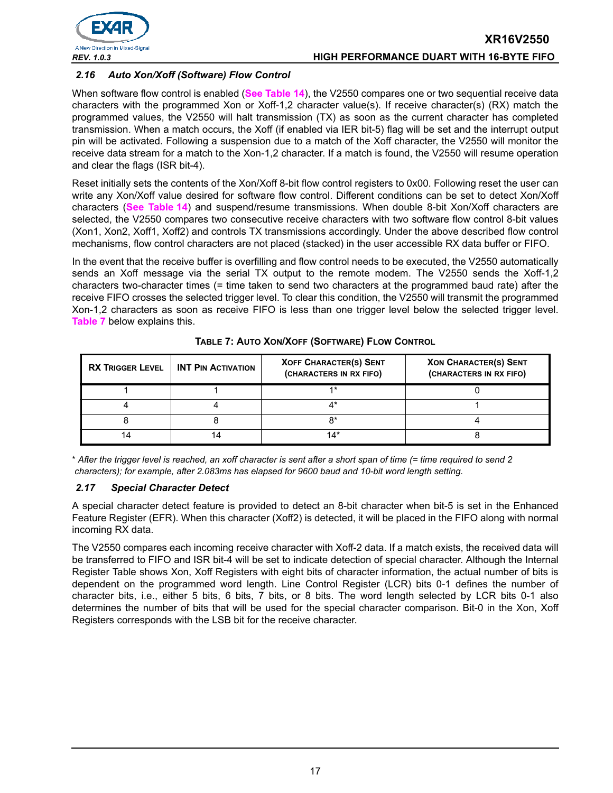

# *2.16 Auto Xon/Xoff (Software) Flow Control*

When software flow control is enabled (**[See Table](#page-33-0) 14**), the V2550 compares one or two sequential receive data characters with the programmed Xon or Xoff-1,2 character value(s). If receive character(s) (RX) match the programmed values, the V2550 will halt transmission (TX) as soon as the current character has completed transmission. When a match occurs, the Xoff (if enabled via IER bit-5) flag will be set and the interrupt output pin will be activated. Following a suspension due to a match of the Xoff character, the V2550 will monitor the receive data stream for a match to the Xon-1,2 character. If a match is found, the V2550 will resume operation and clear the flags (ISR bit-4).

Reset initially sets the contents of the Xon/Xoff 8-bit flow control registers to 0x00. Following reset the user can write any Xon/Xoff value desired for software flow control. Different conditions can be set to detect Xon/Xoff characters (**[See Table](#page-33-0) 14**) and suspend/resume transmissions. When double 8-bit Xon/Xoff characters are selected, the V2550 compares two consecutive receive characters with two software flow control 8-bit values (Xon1, Xon2, Xoff1, Xoff2) and controls TX transmissions accordingly. Under the above described flow control mechanisms, flow control characters are not placed (stacked) in the user accessible RX data buffer or FIFO.

In the event that the receive buffer is overfilling and flow control needs to be executed, the V2550 automatically sends an Xoff message via the serial TX output to the remote modem. The V2550 sends the Xoff-1,2 characters two-character times (= time taken to send two characters at the programmed baud rate) after the receive FIFO crosses the selected trigger level. To clear this condition, the V2550 will transmit the programmed Xon-1,2 characters as soon as receive FIFO is less than one trigger level below the selected trigger level. **[Table](#page-16-0) 7** below explains this.

<span id="page-16-0"></span>

| <b>RX TRIGGER LEVEL</b> | <b>INT PIN ACTIVATION</b> | <b>XOFF CHARACTER(S) SENT</b><br>(CHARACTERS IN RX FIFO) | <b>XON CHARACTER(S) SENT</b><br>(CHARACTERS IN RX FIFO) |
|-------------------------|---------------------------|----------------------------------------------------------|---------------------------------------------------------|
|                         |                           | $4*$                                                     |                                                         |
|                         |                           |                                                          |                                                         |
|                         |                           | ດ∗                                                       |                                                         |
|                         |                           | 14*                                                      |                                                         |

#### **TABLE 7: AUTO XON/XOFF (SOFTWARE) FLOW CONTROL**

\* *After the trigger level is reached, an xoff character is sent after a short span of time (= time required to send 2 characters); for example, after 2.083ms has elapsed for 9600 baud and 10-bit word length setting.*

# *2.17 Special Character Detect*

A special character detect feature is provided to detect an 8-bit character when bit-5 is set in the Enhanced Feature Register (EFR). When this character (Xoff2) is detected, it will be placed in the FIFO along with normal incoming RX data.

The V2550 compares each incoming receive character with Xoff-2 data. If a match exists, the received data will be transferred to FIFO and ISR bit-4 will be set to indicate detection of special character. Although the Internal Register Table shows Xon, Xoff Registers with eight bits of character information, the actual number of bits is dependent on the programmed word length. Line Control Register (LCR) bits 0-1 defines the number of character bits, i.e., either 5 bits, 6 bits, 7 bits, or 8 bits. The word length selected by LCR bits 0-1 also determines the number of bits that will be used for the special character comparison. Bit-0 in the Xon, Xoff Registers corresponds with the LSB bit for the receive character.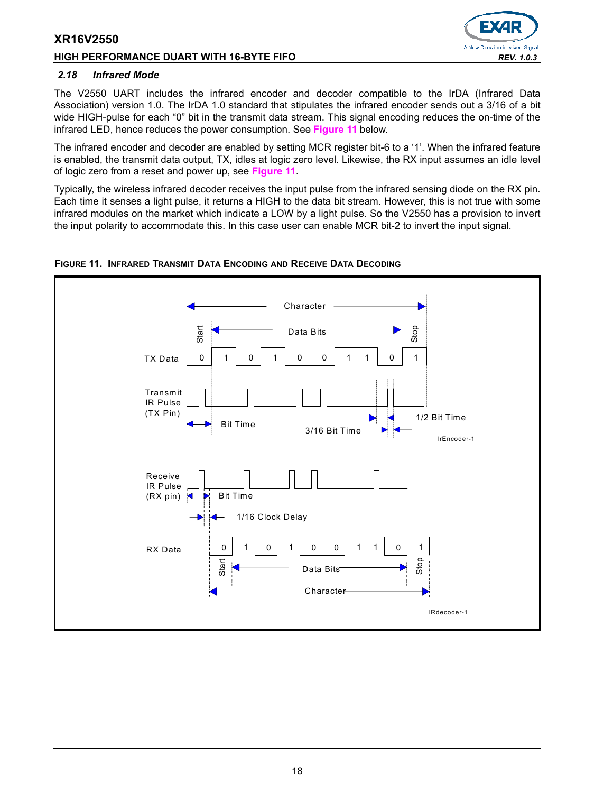#### **HIGH PERFORMANCE DUART WITH 16-BYTE FIFO** *REV. 1.0.3*



#### <span id="page-17-1"></span>*2.18 Infrared Mode*

The V2550 UART includes the infrared encoder and decoder compatible to the IrDA (Infrared Data Association) version 1.0. The IrDA 1.0 standard that stipulates the infrared encoder sends out a 3/16 of a bit wide HIGH-pulse for each "0" bit in the transmit data stream. This signal encoding reduces the on-time of the infrared LED, hence reduces the power consumption. See **[Figure](#page-17-0) 11** below.

The infrared encoder and decoder are enabled by setting MCR register bit-6 to a '1'. When the infrared feature is enabled, the transmit data output, TX, idles at logic zero level. Likewise, the RX input assumes an idle level of logic zero from a reset and power up, see **[Figure](#page-17-0) 11**.

Typically, the wireless infrared decoder receives the input pulse from the infrared sensing diode on the RX pin. Each time it senses a light pulse, it returns a HIGH to the data bit stream. However, this is not true with some infrared modules on the market which indicate a LOW by a light pulse. So the V2550 has a provision to invert the input polarity to accommodate this. In this case user can enable MCR bit-2 to invert the input signal.



# <span id="page-17-0"></span>**FIGURE 11. INFRARED TRANSMIT DATA ENCODING AND RECEIVE DATA DECODING**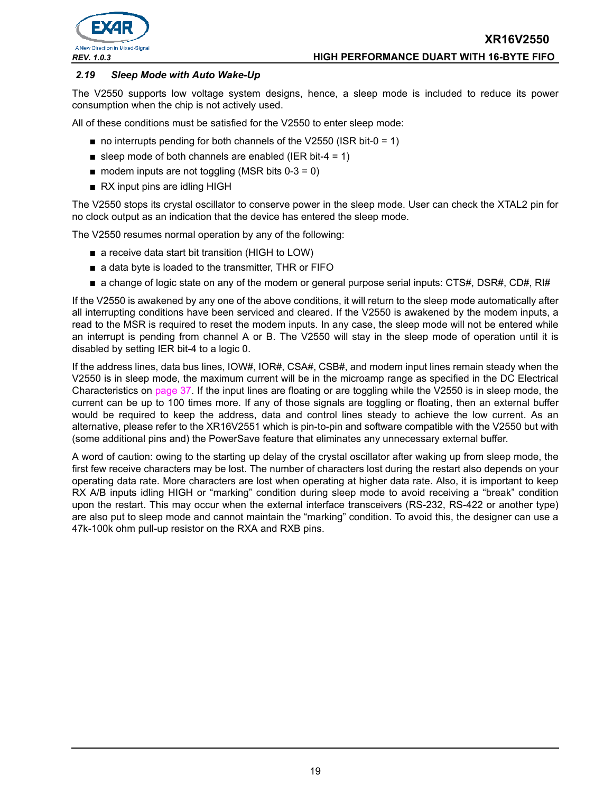

#### *2.19 Sleep Mode with Auto Wake-Up*

The V2550 supports low voltage system designs, hence, a sleep mode is included to reduce its power consumption when the chip is not actively used.

All of these conditions must be satisfied for the V2550 to enter sleep mode:

- $\blacksquare$  no interrupts pending for both channels of the V2550 (ISR bit-0 = 1)
- sleep mode of both channels are enabled (IER bit-4 = 1)
- $\blacksquare$  modem inputs are not toggling (MSR bits 0-3 = 0)
- RX input pins are idling HIGH

The V2550 stops its crystal oscillator to conserve power in the sleep mode. User can check the XTAL2 pin for no clock output as an indication that the device has entered the sleep mode.

The V2550 resumes normal operation by any of the following:

- a receive data start bit transition (HIGH to LOW)
- a data byte is loaded to the transmitter, THR or FIFO
- a change of logic state on any of the modem or general purpose serial inputs: CTS#, DSR#, CD#, RI#

If the V2550 is awakened by any one of the above conditions, it will return to the sleep mode automatically after all interrupting conditions have been serviced and cleared. If the V2550 is awakened by the modem inputs, a read to the MSR is required to reset the modem inputs. In any case, the sleep mode will not be entered while an interrupt is pending from channel A or B. The V2550 will stay in the sleep mode of operation until it is disabled by setting IER bit-4 to a logic 0.

If the address lines, data bus lines, IOW#, IOR#, CSA#, CSB#, and modem input lines remain steady when the V2550 is in sleep mode, the maximum current will be in the microamp range as specified in the DC Electrical Characteristics on [page](#page-36-0) 37. If the input lines are floating or are toggling while the V2550 is in sleep mode, the current can be up to 100 times more. If any of those signals are toggling or floating, then an external buffer would be required to keep the address, data and control lines steady to achieve the low current. As an alternative, please refer to the XR16V2551 which is pin-to-pin and software compatible with the V2550 but with (some additional pins and) the PowerSave feature that eliminates any unnecessary external buffer.

A word of caution: owing to the starting up delay of the crystal oscillator after waking up from sleep mode, the first few receive characters may be lost. The number of characters lost during the restart also depends on your operating data rate. More characters are lost when operating at higher data rate. Also, it is important to keep RX A/B inputs idling HIGH or "marking" condition during sleep mode to avoid receiving a "break" condition upon the restart. This may occur when the external interface transceivers (RS-232, RS-422 or another type) are also put to sleep mode and cannot maintain the "marking" condition. To avoid this, the designer can use a 47k-100k ohm pull-up resistor on the RXA and RXB pins.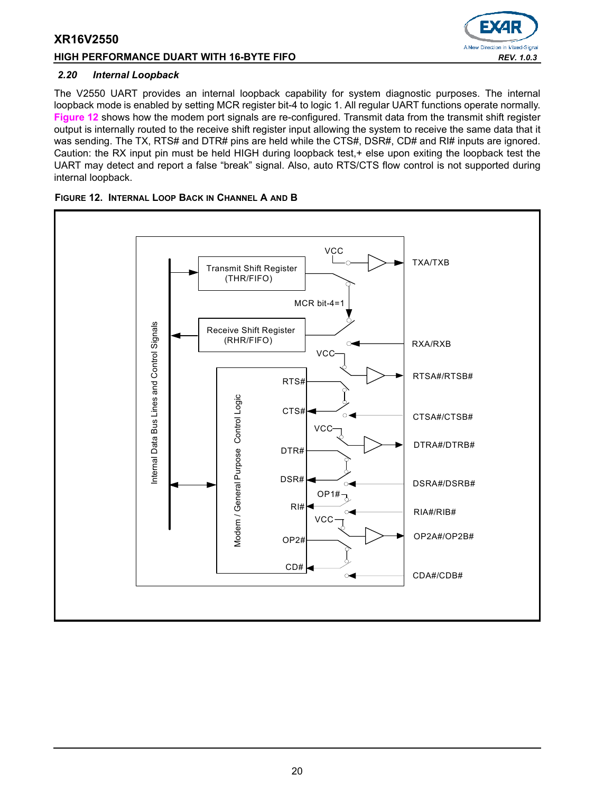# **HIGH PERFORMANCE DUART WITH 16-BYTE FIFO** *REV. 1.0.3*



#### *2.20 Internal Loopback*

The V2550 UART provides an internal loopback capability for system diagnostic purposes. The internal loopback mode is enabled by setting MCR register bit-4 to logic 1. All regular UART functions operate normally. **[Figure](#page-19-0) 12** shows how the modem port signals are re-configured. Transmit data from the transmit shift register output is internally routed to the receive shift register input allowing the system to receive the same data that it was sending. The TX, RTS# and DTR# pins are held while the CTS#, DSR#, CD# and RI# inputs are ignored. Caution: the RX input pin must be held HIGH during loopback test,+ else upon exiting the loopback test the UART may detect and report a false "break" signal. Also, auto RTS/CTS flow control is not supported during internal loopback.



#### <span id="page-19-0"></span>**FIGURE 12. INTERNAL LOOP BACK IN CHANNEL A AND B**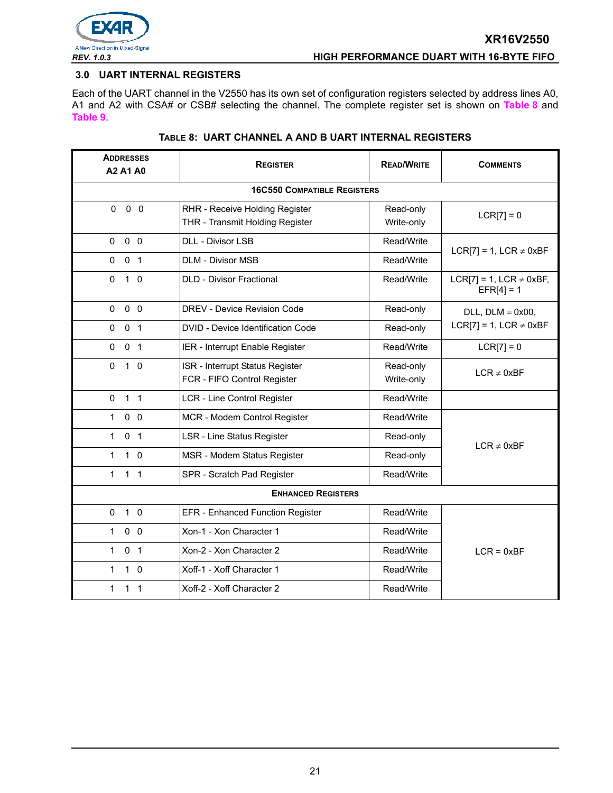

# <span id="page-20-0"></span>**3.0 UART INTERNAL REGISTERS**

Each of the UART channel in the V2550 has its own set of configuration registers selected by address lines A0, A1 and A2 with CSA# or CSB# selecting the channel. The complete register set is shown on **[Table](#page-20-1) 8** and **[Table](#page-21-0) 9**.

<span id="page-20-1"></span>

| <b>ADDRESSES</b><br>A2 A1 A0       | <b>REGISTER</b>                                                   | <b>READ/WRITE</b>       | <b>COMMENTS</b>                              |  |  |  |  |  |  |
|------------------------------------|-------------------------------------------------------------------|-------------------------|----------------------------------------------|--|--|--|--|--|--|
| <b>16C550 COMPATIBLE REGISTERS</b> |                                                                   |                         |                                              |  |  |  |  |  |  |
| 0 <sub>0</sub><br>$\Omega$         | RHR - Receive Holding Register<br>THR - Transmit Holding Register | Read-only<br>Write-only | $LCR[7] = 0$                                 |  |  |  |  |  |  |
| $0\quad 0$<br>$\mathbf{0}$         | <b>DLL - Divisor LSB</b>                                          | Read/Write              | LCR[7] = 1, LCR $\neq$ 0xBF                  |  |  |  |  |  |  |
| $\Omega$<br>0 <sub>1</sub>         | <b>DLM - Divisor MSB</b>                                          | Read/Write              |                                              |  |  |  |  |  |  |
| $\mathbf 0$<br>$1\quad$ 0          | <b>DLD - Divisor Fractional</b>                                   | Read/Write              | LCR[7] = 1, LCR $\neq$ 0xBF,<br>$EFR[4] = 1$ |  |  |  |  |  |  |
| 0 <sub>0</sub><br>$\mathbf{0}$     | DREV - Device Revision Code                                       | Read-only               | $DLL$ , $DLM = 0x00$ ,                       |  |  |  |  |  |  |
| 0 <sub>1</sub><br>$\Omega$         | DVID - Device Identification Code                                 | Read-only               | LCR[7] = 1, LCR $\neq$ 0xBF                  |  |  |  |  |  |  |
| 0 <sub>1</sub><br>0                | IER - Interrupt Enable Register                                   | Read/Write              | $LCR[7] = 0$                                 |  |  |  |  |  |  |
| $\Omega$<br>$1\quad$ 0             | ISR - Interrupt Status Register<br>FCR - FIFO Control Register    | Read-only<br>Write-only | $LCR \neq 0xBF$                              |  |  |  |  |  |  |
| 1 <sub>1</sub><br>$\mathbf{0}$     | <b>LCR - Line Control Register</b>                                | Read/Write              |                                              |  |  |  |  |  |  |
| $0\quad 0$<br>$\mathbf{1}$         | MCR - Modem Control Register                                      | Read/Write              |                                              |  |  |  |  |  |  |
| 1<br>0 <sub>1</sub>                | <b>LSR - Line Status Register</b>                                 | Read-only               | $LCR \neq 0xBF$                              |  |  |  |  |  |  |
| $\mathbf{1}$<br>$1\quad$ 0         | MSR - Modem Status Register                                       | Read-only               |                                              |  |  |  |  |  |  |
| 1 <sub>1</sub><br>$\mathbf{1}$     | SPR - Scratch Pad Register                                        | Read/Write              |                                              |  |  |  |  |  |  |
|                                    | <b>ENHANCED REGISTERS</b>                                         |                         |                                              |  |  |  |  |  |  |
| 1 <sub>0</sub><br>$\Omega$         | <b>EFR</b> - Enhanced Function Register                           | Read/Write              |                                              |  |  |  |  |  |  |
| 0 <sub>0</sub><br>$\mathbf{1}$     | Xon-1 - Xon Character 1                                           | Read/Write              |                                              |  |  |  |  |  |  |
| $\mathbf{1}$<br>0 <sub>1</sub>     | Xon-2 - Xon Character 2                                           | Read/Write              | $LCR = 0xBF$                                 |  |  |  |  |  |  |
| $1\quad 0$<br>1                    | Xoff-1 - Xoff Character 1                                         | Read/Write              |                                              |  |  |  |  |  |  |
| $\mathbf{1}$<br>1 <sub>1</sub>     | Xoff-2 - Xoff Character 2                                         | Read/Write              |                                              |  |  |  |  |  |  |

# **TABLE 8: UART CHANNEL A AND B UART INTERNAL REGISTERS**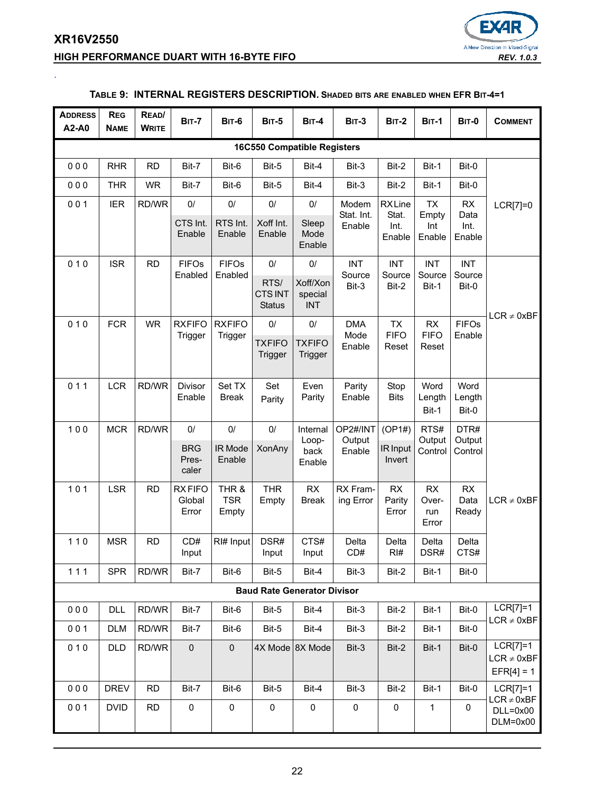# **XR16V2550 HIGH PERFORMANCE DUART WITH 16-BYTE FIFO** *REV. 1.0.3*

<span id="page-21-0"></span>.



#### **ADDRESS A2-A0 REG NAME READ/ WRITE BIT-7 BIT-6 BIT-5 BIT-4 BIT-3 BIT-2 BIT-1 BIT-0 COMMENT 16C550 Compatible Registers** 0 0 0 | RHR | RD | Bit-7 | Bit-6 | Bit-5 | Bit-4 | Bit-3 | Bit-2 | Bit-1 | Bit-0 LCR[7]=0 0 0 0 | THR | WR | Bit-7 | Bit-6 | Bit-5 | Bit-4 | Bit-3 | Bit-2 | Bit-1 | Bit-0 0 0 1 | IER | RD/WR | 0/ | 0/ | 0/ | 0/ | Modem Stat. Int. Enable **RX** Line Stat. Int. Enable TX Empty Int Enable RX Data Int. Enable CTS Int. Enable RTS Int. Enable Xoff Int. Enable Sleep Mode Enable  $010$  SR RD FIFOS Enabled FIFOs Enabled  $0/$  0/ INT **Source** Bit-3 INT Source Bit-2 INT **Source** Bit-1 INT **Source** Bit-0  $LCR \neq 0xBF$ RTS/ CTS INT **Status** Xoff/Xon special INT 0 10 FCR WR RXFIFO **Trigger RXFIFO Trigger** 0/ 0/ DMA Mode Enable TX FIFO Reset RX FIFO Reset FIFOs Enable **TXFIFO Trigger TXFIFO Trigger** 0 1 1 | LCR | RD/WR | Divisor Enable Set TX Break Set Parity Even Parity Parity Enable Stop Bits Word Length Bit-1 Word Length Bit-0 1 0 0 | MCR | RD/WR | 0/ | 0/ | 0/ | Internal Loopback Enable OP2#/INT **Output** XonAny back Enable R Input  $(OP1#)$  RTS# **Output Control** DTR# **Output Control**  $LCR \neq 0xBF$ BRG Prescaler IR Mode Enable Invert 101 LSR RD RXFIFO Global Error THR & TSR Empty **THR** Empty RX Break RX Framing Error RX Parity Error RX Overrun Error RX Data Ready 110 | MSR | RD | CD# Input  $R$ <sup>#</sup> Input DSR# Input CTS# Input Delta CD# Delta RI# Delta DSR# Delta CTS# 1 1 1 | SPR RD/WR Bit-7 | Bit-6 | Bit-5 | Bit-4 | Bit-3 | Bit-2 | Bit-1 | Bit-0 **Baud Rate Generator Divisor** 0 0 0 | DLL RD/WR | Bit-7 | Bit-6 | Bit-5 | Bit-4 | Bit-3 | Bit-2 | Bit-1 | Bit-0 | LCR[7]=1  $LCR \neq 0xBF$ 0 0 1 | DLM | RD/WR | Bit-7 | Bit-6 | Bit-5 | Bit-4 | Bit-3 | Bit-2 | Bit-1 | Bit-0 0 1 0 | DLD | RD/WR | 0 | 0 | 4X Mode | 8X Mode | Bit-3 | Bit-2 | Bit-1 | Bit-0 | LCR[7]=1  $LCR \neq 0xBF$  $EFR[4] = 1$ 0 0 0 | DREV | RD | Bit-7 | Bit-6 | Bit-5 | Bit-4 | Bit-3 | Bit-2 | Bit-1 | Bit-0 | LCR[7]=1  $LCR \neq 0xBF$ DLL=0x00 DLM=0x00 0 0 1 | DVID | RD | 0 | 0 | 0 | 0 | 0 | 0 | 0 | 1 | 0

# **TABLE 9: INTERNAL REGISTERS DESCRIPTION. SHADED BITS ARE ENABLED WHEN EFR BIT-4=1**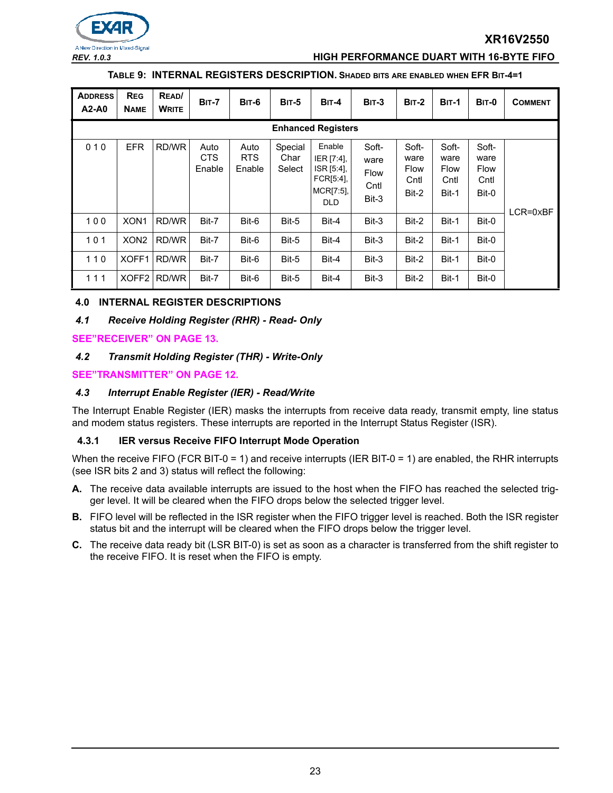

#### *REV. 1.0.3* **HIGH PERFORMANCE DUART WITH 16-BYTE FIFO**

#### **TABLE 9: INTERNAL REGISTERS DESCRIPTION. SHADED BITS ARE ENABLED WHEN EFR BIT-4=1**

| <b>ADDRESS</b><br>A2-A0 | <b>REG</b><br><b>NAME</b> | READ/<br><b>WRITE</b> | <b>BIT-7</b>                 | <b>BIT-6</b>                 | <b>BIT-5</b>              | $BIT-4$                                                                      | $BIT-3$                                       | $BIT-2$                                | <b>BIT-1</b>                                  | <b>BIT-0</b>                                  | <b>COMMENT</b> |
|-------------------------|---------------------------|-----------------------|------------------------------|------------------------------|---------------------------|------------------------------------------------------------------------------|-----------------------------------------------|----------------------------------------|-----------------------------------------------|-----------------------------------------------|----------------|
|                         | <b>Enhanced Registers</b> |                       |                              |                              |                           |                                                                              |                                               |                                        |                                               |                                               |                |
| 010                     | <b>EFR</b>                | RD/WR                 | Auto<br><b>CTS</b><br>Enable | Auto<br><b>RTS</b><br>Enable | Special<br>Char<br>Select | Enable<br>IER [7:4],<br>ISR [5:4],<br>FCR[5:4]<br>$MCRI7:5$ ],<br><b>DLD</b> | Soft-<br>ware<br><b>Flow</b><br>Cntl<br>Bit-3 | Soft-<br>ware<br>Flow<br>Cntl<br>Bit-2 | Soft-<br>ware<br><b>Flow</b><br>Cntl<br>Bit-1 | Soft-<br>ware<br><b>Flow</b><br>Cntl<br>Bit-0 | LCR=0xBF       |
| 100                     | XON <sub>1</sub>          | RD/WR                 | Bit-7                        | Bit-6                        | Bit-5                     | Bit-4                                                                        | Bit-3                                         | Bit-2                                  | Bit-1                                         | Bit-0                                         |                |
| 101                     | XON <sub>2</sub>          | RD/WR                 | Bit-7                        | Bit-6                        | Bit-5                     | Bit-4                                                                        | Bit-3                                         | Bit-2                                  | Bit-1                                         | Bit-0                                         |                |
| 110                     | XOFF1                     | RD/WR                 | Bit-7                        | Bit-6                        | Bit-5                     | Bit-4                                                                        | Bit-3                                         | Bit-2                                  | Bit-1                                         | Bit-0                                         |                |
| 111                     | XOFF <sub>2</sub>         | RD/WR                 | Bit-7                        | Bit-6                        | Bit-5                     | Bit-4                                                                        | Bit-3                                         | Bit-2                                  | Bit-1                                         | Bit-0                                         |                |

#### **4.0 INTERNAL REGISTER DESCRIPTIONS**

#### *4.1 Receive Holding Register (RHR) - Read- Only*

**[SEE"RECEIVER" ON PAGE](#page-12-0) 13.**

#### *4.2 Transmit Holding Register (THR) - Write-Only*

**[SEE"TRANSMITTER" ON PAGE](#page-11-0) 12.**

#### *4.3 Interrupt Enable Register (IER) - Read/Write*

The Interrupt Enable Register (IER) masks the interrupts from receive data ready, transmit empty, line status and modem status registers. These interrupts are reported in the Interrupt Status Register (ISR).

#### **4.3.1 IER versus Receive FIFO Interrupt Mode Operation**

When the receive FIFO (FCR BIT-0 = 1) and receive interrupts (IER BIT-0 = 1) are enabled, the RHR interrupts (see ISR bits 2 and 3) status will reflect the following:

- **A.** The receive data available interrupts are issued to the host when the FIFO has reached the selected trigger level. It will be cleared when the FIFO drops below the selected trigger level.
- **B.** FIFO level will be reflected in the ISR register when the FIFO trigger level is reached. Both the ISR register status bit and the interrupt will be cleared when the FIFO drops below the trigger level.
- **C.** The receive data ready bit (LSR BIT-0) is set as soon as a character is transferred from the shift register to the receive FIFO. It is reset when the FIFO is empty.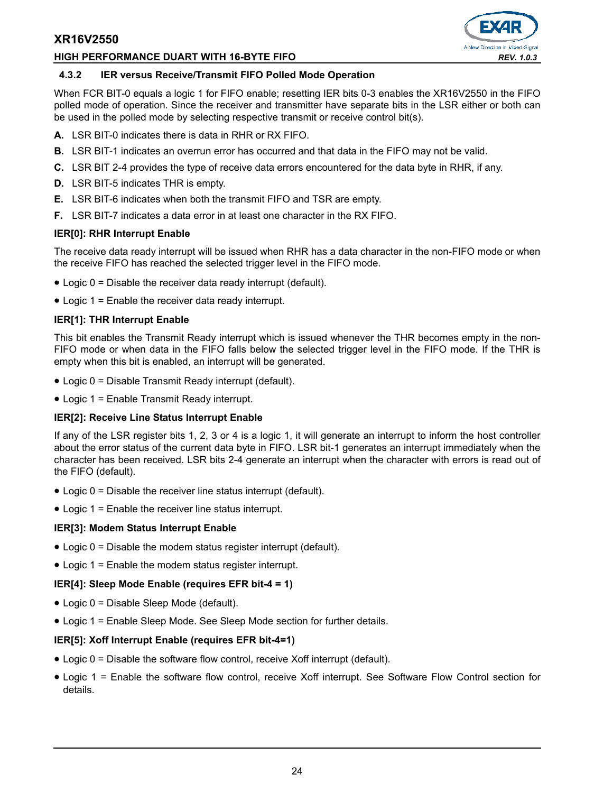#### **HIGH PERFORMANCE DUART WITH 16-BYTE FIFO** *REV. 1.0.3*



#### **4.3.2 IER versus Receive/Transmit FIFO Polled Mode Operation**

When FCR BIT-0 equals a logic 1 for FIFO enable; resetting IER bits 0-3 enables the XR16V2550 in the FIFO polled mode of operation. Since the receiver and transmitter have separate bits in the LSR either or both can be used in the polled mode by selecting respective transmit or receive control bit(s).

- **A.** LSR BIT-0 indicates there is data in RHR or RX FIFO.
- **B.** LSR BIT-1 indicates an overrun error has occurred and that data in the FIFO may not be valid.
- **C.** LSR BIT 2-4 provides the type of receive data errors encountered for the data byte in RHR, if any.
- **D.** LSR BIT-5 indicates THR is empty.
- **E.** LSR BIT-6 indicates when both the transmit FIFO and TSR are empty.
- **F.** LSR BIT-7 indicates a data error in at least one character in the RX FIFO.

#### **IER[0]: RHR Interrupt Enable**

The receive data ready interrupt will be issued when RHR has a data character in the non-FIFO mode or when the receive FIFO has reached the selected trigger level in the FIFO mode.

- Logic 0 = Disable the receiver data ready interrupt (default).
- Logic 1 = Enable the receiver data ready interrupt.

#### **IER[1]: THR Interrupt Enable**

This bit enables the Transmit Ready interrupt which is issued whenever the THR becomes empty in the non-FIFO mode or when data in the FIFO falls below the selected trigger level in the FIFO mode. If the THR is empty when this bit is enabled, an interrupt will be generated.

- Logic 0 = Disable Transmit Ready interrupt (default).
- Logic 1 = Enable Transmit Ready interrupt.

#### **IER[2]: Receive Line Status Interrupt Enable**

If any of the LSR register bits 1, 2, 3 or 4 is a logic 1, it will generate an interrupt to inform the host controller about the error status of the current data byte in FIFO. LSR bit-1 generates an interrupt immediately when the character has been received. LSR bits 2-4 generate an interrupt when the character with errors is read out of the FIFO (default).

- Logic 0 = Disable the receiver line status interrupt (default).
- Logic 1 = Enable the receiver line status interrupt.

#### **IER[3]: Modem Status Interrupt Enable**

- Logic 0 = Disable the modem status register interrupt (default).
- Logic 1 = Enable the modem status register interrupt.

#### **IER[4]: Sleep Mode Enable (requires EFR bit-4 = 1)**

- Logic 0 = Disable Sleep Mode (default).
- Logic 1 = Enable Sleep Mode. See Sleep Mode section for further details.

#### **IER[5]: Xoff Interrupt Enable (requires EFR bit-4=1)**

- Logic 0 = Disable the software flow control, receive Xoff interrupt (default).
- Logic 1 = Enable the software flow control, receive Xoff interrupt. See Software Flow Control section for details.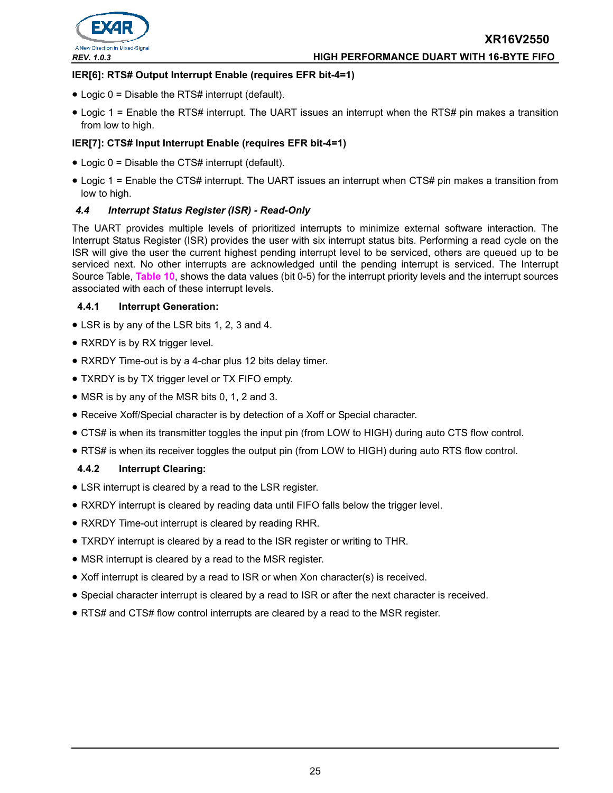

#### *REV. 1.0.3* **HIGH PERFORMANCE DUART WITH 16-BYTE FIFO**

#### **IER[6]: RTS# Output Interrupt Enable (requires EFR bit-4=1)**

- Logic 0 = Disable the RTS# interrupt (default).
- Logic 1 = Enable the RTS# interrupt. The UART issues an interrupt when the RTS# pin makes a transition from low to high.

# **IER[7]: CTS# Input Interrupt Enable (requires EFR bit-4=1)**

- Logic 0 = Disable the CTS# interrupt (default).
- Logic 1 = Enable the CTS# interrupt. The UART issues an interrupt when CTS# pin makes a transition from low to high.

#### *4.4 Interrupt Status Register (ISR) - Read-Only*

The UART provides multiple levels of prioritized interrupts to minimize external software interaction. The Interrupt Status Register (ISR) provides the user with six interrupt status bits. Performing a read cycle on the ISR will give the user the current highest pending interrupt level to be serviced, others are queued up to be serviced next. No other interrupts are acknowledged until the pending interrupt is serviced. The Interrupt Source Table, **[Table](#page-25-0) 10**, shows the data values (bit 0-5) for the interrupt priority levels and the interrupt sources associated with each of these interrupt levels.

#### **4.4.1 Interrupt Generation:**

- LSR is by any of the LSR bits 1, 2, 3 and 4.
- RXRDY is by RX trigger level.
- RXRDY Time-out is by a 4-char plus 12 bits delay timer.
- TXRDY is by TX trigger level or TX FIFO empty.
- MSR is by any of the MSR bits 0, 1, 2 and 3.
- Receive Xoff/Special character is by detection of a Xoff or Special character.
- CTS# is when its transmitter toggles the input pin (from LOW to HIGH) during auto CTS flow control.
- RTS# is when its receiver toggles the output pin (from LOW to HIGH) during auto RTS flow control.

#### **4.4.2 Interrupt Clearing:**

- LSR interrupt is cleared by a read to the LSR register.
- RXRDY interrupt is cleared by reading data until FIFO falls below the trigger level.
- RXRDY Time-out interrupt is cleared by reading RHR.
- TXRDY interrupt is cleared by a read to the ISR register or writing to THR.
- MSR interrupt is cleared by a read to the MSR register.
- Xoff interrupt is cleared by a read to ISR or when Xon character(s) is received.
- Special character interrupt is cleared by a read to ISR or after the next character is received.
- RTS# and CTS# flow control interrupts are cleared by a read to the MSR register.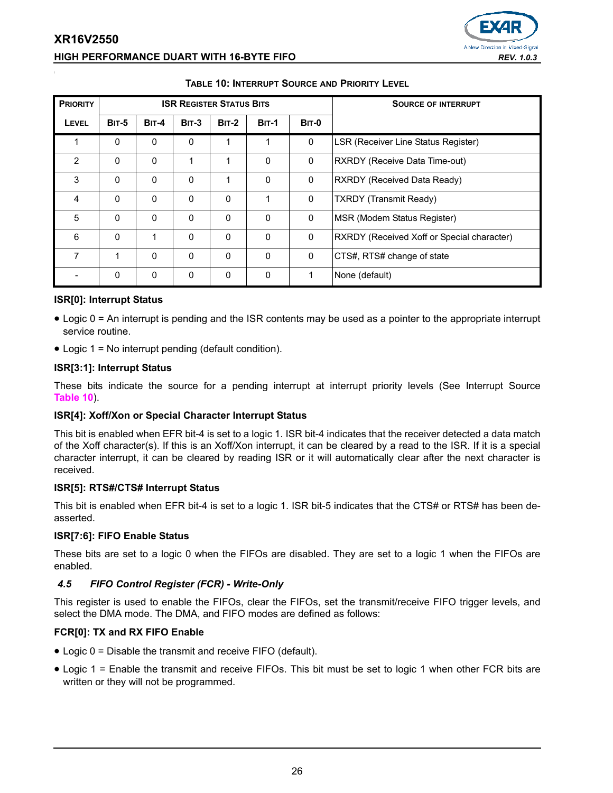# **XR16V2550 HIGH PERFORMANCE DUART WITH 16-BYTE FIFO** *REV. 1.0.3*



<span id="page-25-0"></span>

| <b>PRIORITY</b> |              |              |              | <b>ISR REGISTER STATUS BITS</b> |              | <b>SOURCE OF INTERRUPT</b> |                                            |
|-----------------|--------------|--------------|--------------|---------------------------------|--------------|----------------------------|--------------------------------------------|
| LEVEL           | <b>BIT-5</b> | <b>BIT-4</b> | <b>BIT-3</b> | <b>BIT-2</b>                    | <b>BIT-1</b> | <b>BIT-0</b>               |                                            |
| 1               | $\Omega$     | $\mathbf 0$  | 0            | 1                               |              | 0                          | LSR (Receiver Line Status Register)        |
| $\overline{2}$  | $\Omega$     | $\Omega$     | 1            | 1                               | $\Omega$     | 0                          | RXRDY (Receive Data Time-out)              |
| 3               | $\Omega$     | 0            | 0            | 1                               | $\mathbf 0$  | 0                          | RXRDY (Received Data Ready)                |
| 4               | $\Omega$     | $\Omega$     | 0            | $\Omega$                        |              | 0                          | <b>TXRDY (Transmit Ready)</b>              |
| 5               | $\Omega$     | 0            | 0            | $\Omega$                        | $\Omega$     | 0                          | MSR (Modem Status Register)                |
| 6               | $\Omega$     | 1            | 0            | $\Omega$                        | $\Omega$     | 0                          | RXRDY (Received Xoff or Special character) |
| 7               | 1            | 0            | 0            | $\Omega$                        | $\Omega$     | 0                          | CTS#, RTS# change of state                 |
|                 | $\Omega$     | 0            | 0            | $\Omega$                        | $\mathbf 0$  | 1                          | None (default)                             |

#### **TABLE 10: INTERRUPT SOURCE AND PRIORITY LEVEL**

# **ISR[0]: Interrupt Status**

- Logic 0 = An interrupt is pending and the ISR contents may be used as a pointer to the appropriate interrupt service routine.
- Logic 1 = No interrupt pending (default condition).

#### **ISR[3:1]: Interrupt Status**

These bits indicate the source for a pending interrupt at interrupt priority levels (See Interrupt Source **[Table](#page-25-0) 10**).

# **ISR[4]: Xoff/Xon or Special Character Interrupt Status**

This bit is enabled when EFR bit-4 is set to a logic 1. ISR bit-4 indicates that the receiver detected a data match of the Xoff character(s). If this is an Xoff/Xon interrupt, it can be cleared by a read to the ISR. If it is a special character interrupt, it can be cleared by reading ISR or it will automatically clear after the next character is received.

# **ISR[5]: RTS#/CTS# Interrupt Status**

This bit is enabled when EFR bit-4 is set to a logic 1. ISR bit-5 indicates that the CTS# or RTS# has been deasserted.

# **ISR[7:6]: FIFO Enable Status**

These bits are set to a logic 0 when the FIFOs are disabled. They are set to a logic 1 when the FIFOs are enabled.

# *4.5 FIFO Control Register (FCR) - Write-Only*

This register is used to enable the FIFOs, clear the FIFOs, set the transmit/receive FIFO trigger levels, and select the DMA mode. The DMA, and FIFO modes are defined as follows:

# **FCR[0]: TX and RX FIFO Enable**

- Logic 0 = Disable the transmit and receive FIFO (default).
- Logic 1 = Enable the transmit and receive FIFOs. This bit must be set to logic 1 when other FCR bits are written or they will not be programmed.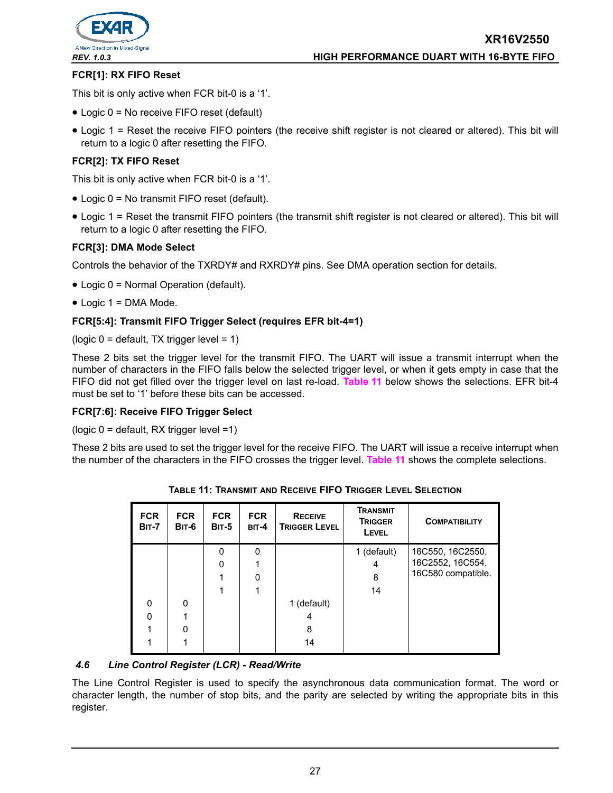

## **FCR[1]: RX FIFO Reset**

This bit is only active when FCR bit-0 is a '1'.

- Logic 0 = No receive FIFO reset (default)
- Logic 1 = Reset the receive FIFO pointers (the receive shift register is not cleared or altered). This bit will return to a logic 0 after resetting the FIFO.

#### **FCR[2]: TX FIFO Reset**

This bit is only active when FCR bit-0 is a '1'.

- Logic 0 = No transmit FIFO reset (default).
- Logic 1 = Reset the transmit FIFO pointers (the transmit shift register is not cleared or altered). This bit will return to a logic 0 after resetting the FIFO.

#### **FCR[3]: DMA Mode Select**

Controls the behavior of the TXRDY# and RXRDY# pins. See DMA operation section for details.

- Logic 0 = Normal Operation (default).
- Logic 1 = DMA Mode.

#### **FCR[5:4]: Transmit FIFO Trigger Select (requires EFR bit-4=1)**

(logic  $0 =$  default, TX trigger level = 1)

These 2 bits set the trigger level for the transmit FIFO. The UART will issue a transmit interrupt when the number of characters in the FIFO falls below the selected trigger level, or when it gets empty in case that the FIFO did not get filled over the trigger level on last re-load. **[Table](#page-26-0) 11** below shows the selections. EFR bit-4 must be set to '1' before these bits can be accessed.

#### **FCR[7:6]: Receive FIFO Trigger Select**

(logic 0 = default, RX trigger level =1)

<span id="page-26-0"></span>These 2 bits are used to set the trigger level for the receive FIFO. The UART will issue a receive interrupt when the number of the characters in the FIFO crosses the trigger level. **[Table](#page-26-0) 11** shows the complete selections.

| <b>FCR</b><br><b>BIT-7</b> | <b>FCR</b><br>BIT-6 | <b>FCR</b><br><b>BIT-5</b> | <b>FCR</b><br>BIT-4 | <b>RECEIVE</b><br><b>TRIGGER LEVEL</b> | <b>TRANSMIT</b><br><b>TRIGGER</b><br>LEVEL | <b>COMPATIBILITY</b> |
|----------------------------|---------------------|----------------------------|---------------------|----------------------------------------|--------------------------------------------|----------------------|
|                            |                     | 0                          | 0                   |                                        | 1 (default)                                | 16C550, 16C2550,     |
|                            |                     | O                          |                     |                                        | 4                                          | 16C2552, 16C554,     |
|                            |                     |                            | 0                   |                                        | 8                                          | 16C580 compatible.   |
|                            |                     |                            |                     |                                        | 14                                         |                      |
| 0                          | $\Omega$            |                            |                     | 1 (default)                            |                                            |                      |
| n                          |                     |                            |                     | 4                                      |                                            |                      |
|                            | ი                   |                            |                     | 8                                      |                                            |                      |
|                            |                     |                            |                     | 14                                     |                                            |                      |

**TABLE 11: TRANSMIT AND RECEIVE FIFO TRIGGER LEVEL SELECTION**

#### *4.6 Line Control Register (LCR) - Read/Write*

The Line Control Register is used to specify the asynchronous data communication format. The word or character length, the number of stop bits, and the parity are selected by writing the appropriate bits in this register.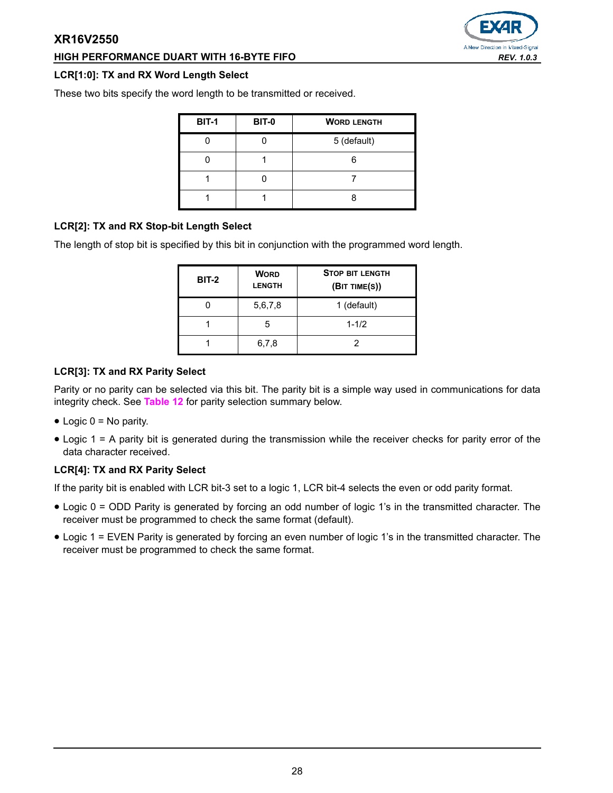# **HIGH PERFORMANCE DUART WITH 16-BYTE FIFO** *REV. 1.0.3*

#### **LCR[1:0]: TX and RX Word Length Select**

These two bits specify the word length to be transmitted or received.

| <b>BIT-1</b> | <b>BIT-0</b> | <b>WORD LENGTH</b> |
|--------------|--------------|--------------------|
|              |              | 5 (default)        |
|              |              |                    |
|              |              |                    |
|              |              |                    |

# **LCR[2]: TX and RX Stop-bit Length Select**

The length of stop bit is specified by this bit in conjunction with the programmed word length.

| <b>BIT-2</b> | <b>WORD</b><br><b>LENGTH</b> | <b>STOP BIT LENGTH</b><br>(BIT TIME(S)) |
|--------------|------------------------------|-----------------------------------------|
|              | 5,6,7,8                      | 1 (default)                             |
|              | 5                            | $1 - 1/2$                               |
|              | 6,7,8                        |                                         |

# **LCR[3]: TX and RX Parity Select**

Parity or no parity can be selected via this bit. The parity bit is a simple way used in communications for data integrity check. See **[Table](#page-28-0) 12** for parity selection summary below.

- $\bullet$  Logic  $0 = No$  parity.
- Logic 1 = A parity bit is generated during the transmission while the receiver checks for parity error of the data character received.

# **LCR[4]: TX and RX Parity Select**

If the parity bit is enabled with LCR bit-3 set to a logic 1, LCR bit-4 selects the even or odd parity format.

- Logic 0 = ODD Parity is generated by forcing an odd number of logic 1's in the transmitted character. The receiver must be programmed to check the same format (default).
- Logic 1 = EVEN Parity is generated by forcing an even number of logic 1's in the transmitted character. The receiver must be programmed to check the same format.

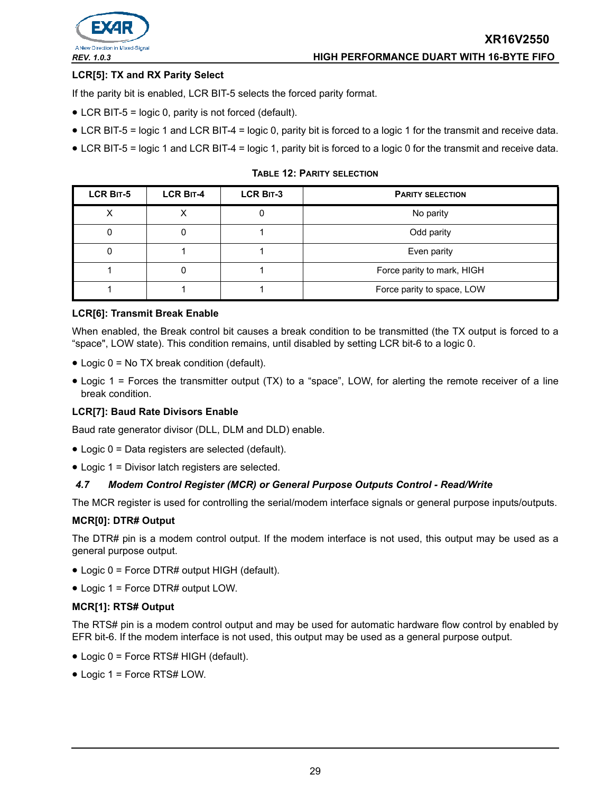

## **LCR[5]: TX and RX Parity Select**

If the parity bit is enabled, LCR BIT-5 selects the forced parity format.

- LCR BIT-5 = logic 0, parity is not forced (default).
- LCR BIT-5 = logic 1 and LCR BIT-4 = logic 0, parity bit is forced to a logic 1 for the transmit and receive data.
- LCR BIT-5 = logic 1 and LCR BIT-4 = logic 1, parity bit is forced to a logic 0 for the transmit and receive data.

**TABLE 12: PARITY SELECTION**

<span id="page-28-0"></span>

| <b>LCR BIT-5</b> | LCR BIT-4 | LCR BIT-3 | <b>PARITY SELECTION</b>    |
|------------------|-----------|-----------|----------------------------|
|                  |           |           | No parity                  |
|                  |           |           | Odd parity                 |
|                  |           |           | Even parity                |
|                  |           |           | Force parity to mark, HIGH |
|                  |           |           | Force parity to space, LOW |

#### **LCR[6]: Transmit Break Enable**

When enabled, the Break control bit causes a break condition to be transmitted (the TX output is forced to a "space", LOW state). This condition remains, until disabled by setting LCR bit-6 to a logic 0.

- Logic 0 = No TX break condition (default).
- Logic 1 = Forces the transmitter output (TX) to a "space", LOW, for alerting the remote receiver of a line break condition.

#### **LCR[7]: Baud Rate Divisors Enable**

Baud rate generator divisor (DLL, DLM and DLD) enable.

- Logic 0 = Data registers are selected (default).
- Logic 1 = Divisor latch registers are selected.

#### *4.7 Modem Control Register (MCR) or General Purpose Outputs Control - Read/Write*

The MCR register is used for controlling the serial/modem interface signals or general purpose inputs/outputs.

#### **MCR[0]: DTR# Output**

The DTR# pin is a modem control output. If the modem interface is not used, this output may be used as a general purpose output.

- Logic 0 = Force DTR# output HIGH (default).
- Logic 1 = Force DTR# output LOW.

#### **MCR[1]: RTS# Output**

The RTS# pin is a modem control output and may be used for automatic hardware flow control by enabled by EFR bit-6. If the modem interface is not used, this output may be used as a general purpose output.

- Logic 0 = Force RTS# HIGH (default).
- Logic 1 = Force RTS# LOW.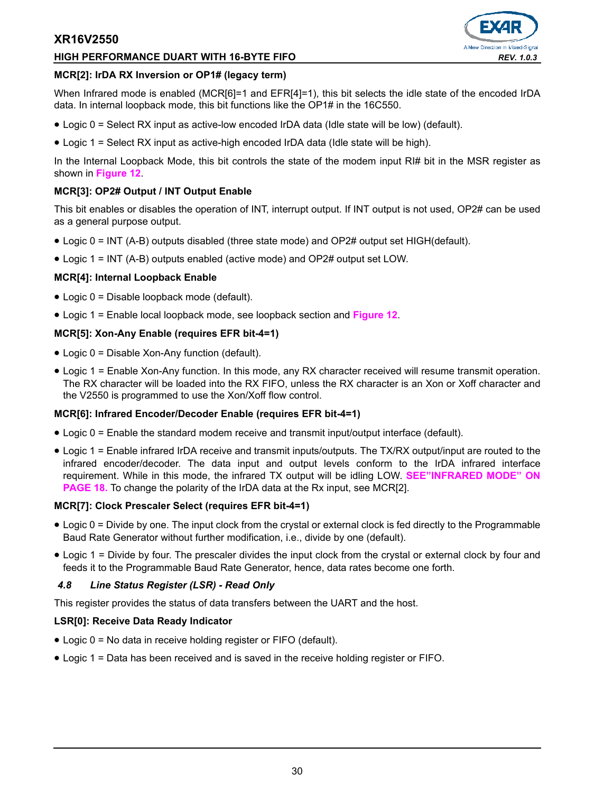#### **HIGH PERFORMANCE DUART WITH 16-BYTE FIFO** *REV. 1.0.3*



#### **MCR[2]: IrDA RX Inversion or OP1# (legacy term)**

When Infrared mode is enabled (MCR[6]=1 and EFR[4]=1), this bit selects the idle state of the encoded IrDA data. In internal loopback mode, this bit functions like the OP1# in the 16C550.

- Logic 0 = Select RX input as active-low encoded IrDA data (Idle state will be low) (default).
- Logic 1 = Select RX input as active-high encoded IrDA data (Idle state will be high).

In the Internal Loopback Mode, this bit controls the state of the modem input RI# bit in the MSR register as shown in **[Figure](#page-19-0) 12**.

#### **MCR[3]: OP2# Output / INT Output Enable**

This bit enables or disables the operation of INT, interrupt output. If INT output is not used, OP2# can be used as a general purpose output.

- Logic 0 = INT (A-B) outputs disabled (three state mode) and OP2# output set HIGH(default).
- Logic 1 = INT (A-B) outputs enabled (active mode) and OP2# output set LOW.

# **MCR[4]: Internal Loopback Enable**

- Logic 0 = Disable loopback mode (default).
- Logic 1 = Enable local loopback mode, see loopback section and **[Figure](#page-19-0) 12**.

#### **MCR[5]: Xon-Any Enable (requires EFR bit-4=1)**

- Logic 0 = Disable Xon-Any function (default).
- Logic 1 = Enable Xon-Any function. In this mode, any RX character received will resume transmit operation. The RX character will be loaded into the RX FIFO, unless the RX character is an Xon or Xoff character and the V2550 is programmed to use the Xon/Xoff flow control.

# **MCR[6]: Infrared Encoder/Decoder Enable (requires EFR bit-4=1)**

- Logic 0 = Enable the standard modem receive and transmit input/output interface (default).
- Logic 1 = Enable infrared IrDA receive and transmit inputs/outputs. The TX/RX output/input are routed to the infrared encoder/decoder. The data input and output levels conform to the IrDA infrared interface requirement. While in this mode, the infrared TX output will be idling LOW. **[SEE"INFRARED MODE" ON](#page-17-1)  [PAGE](#page-17-1) 18.** To change the polarity of the IrDA data at the Rx input, see MCR[2].

#### **MCR[7]: Clock Prescaler Select (requires EFR bit-4=1)**

- Logic 0 = Divide by one. The input clock from the crystal or external clock is fed directly to the Programmable Baud Rate Generator without further modification, i.e., divide by one (default).
- Logic 1 = Divide by four. The prescaler divides the input clock from the crystal or external clock by four and feeds it to the Programmable Baud Rate Generator, hence, data rates become one forth.

#### *4.8 Line Status Register (LSR) - Read Only*

This register provides the status of data transfers between the UART and the host.

#### **LSR[0]: Receive Data Ready Indicator**

- Logic 0 = No data in receive holding register or FIFO (default).
- Logic 1 = Data has been received and is saved in the receive holding register or FIFO.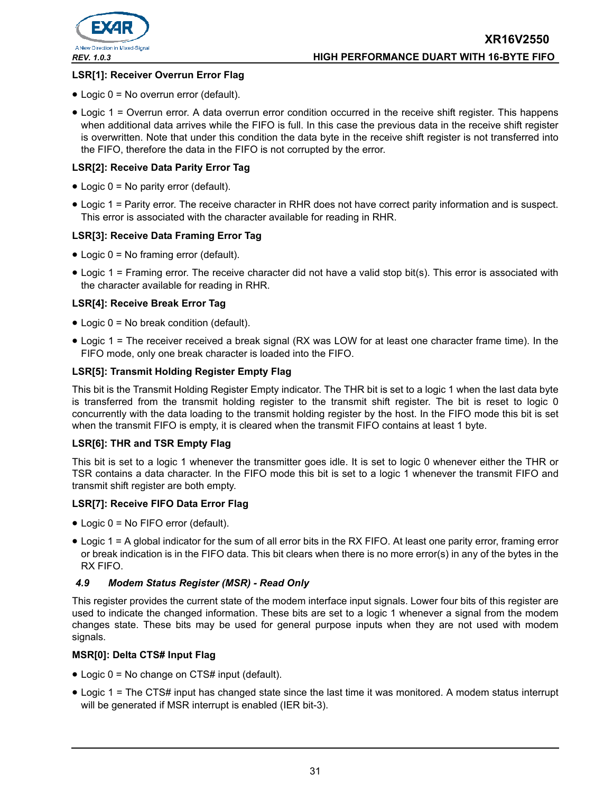

# **LSR[1]: Receiver Overrun Error Flag**

- Logic 0 = No overrun error (default).
- Logic 1 = Overrun error. A data overrun error condition occurred in the receive shift register. This happens when additional data arrives while the FIFO is full. In this case the previous data in the receive shift register is overwritten. Note that under this condition the data byte in the receive shift register is not transferred into the FIFO, therefore the data in the FIFO is not corrupted by the error.

# **LSR[2]: Receive Data Parity Error Tag**

- Logic 0 = No parity error (default).
- Logic 1 = Parity error. The receive character in RHR does not have correct parity information and is suspect. This error is associated with the character available for reading in RHR.

# **LSR[3]: Receive Data Framing Error Tag**

- Logic 0 = No framing error (default).
- Logic 1 = Framing error. The receive character did not have a valid stop bit(s). This error is associated with the character available for reading in RHR.

# **LSR[4]: Receive Break Error Tag**

- Logic 0 = No break condition (default).
- Logic 1 = The receiver received a break signal (RX was LOW for at least one character frame time). In the FIFO mode, only one break character is loaded into the FIFO.

# **LSR[5]: Transmit Holding Register Empty Flag**

This bit is the Transmit Holding Register Empty indicator. The THR bit is set to a logic 1 when the last data byte is transferred from the transmit holding register to the transmit shift register. The bit is reset to logic 0 concurrently with the data loading to the transmit holding register by the host. In the FIFO mode this bit is set when the transmit FIFO is empty, it is cleared when the transmit FIFO contains at least 1 byte.

# **LSR[6]: THR and TSR Empty Flag**

This bit is set to a logic 1 whenever the transmitter goes idle. It is set to logic 0 whenever either the THR or TSR contains a data character. In the FIFO mode this bit is set to a logic 1 whenever the transmit FIFO and transmit shift register are both empty.

#### **LSR[7]: Receive FIFO Data Error Flag**

- Logic 0 = No FIFO error (default).
- Logic 1 = A global indicator for the sum of all error bits in the RX FIFO. At least one parity error, framing error or break indication is in the FIFO data. This bit clears when there is no more error(s) in any of the bytes in the RX FIFO.

# *4.9 Modem Status Register (MSR) - Read Only*

This register provides the current state of the modem interface input signals. Lower four bits of this register are used to indicate the changed information. These bits are set to a logic 1 whenever a signal from the modem changes state. These bits may be used for general purpose inputs when they are not used with modem signals.

# **MSR[0]: Delta CTS# Input Flag**

- Logic 0 = No change on CTS# input (default).
- Logic 1 = The CTS# input has changed state since the last time it was monitored. A modem status interrupt will be generated if MSR interrupt is enabled (IER bit-3).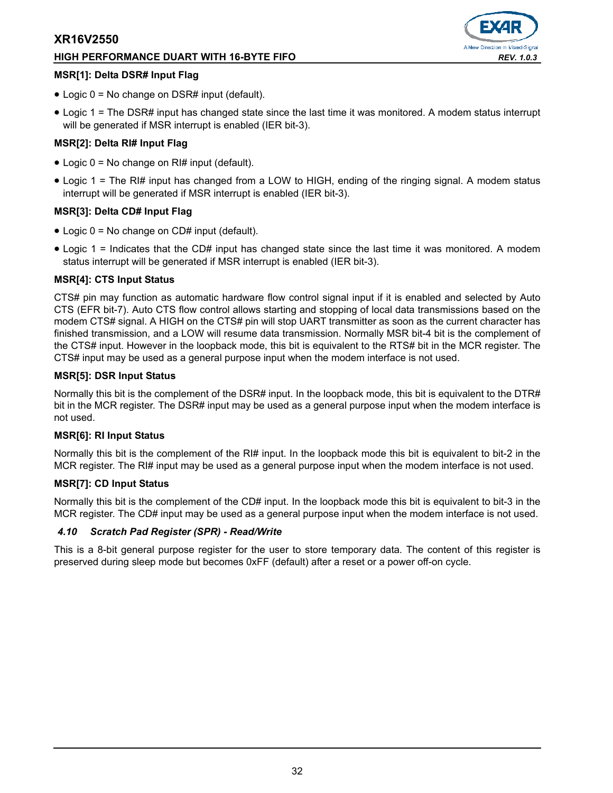#### **HIGH PERFORMANCE DUART WITH 16-BYTE FIFO** *REV. 1.0.3*



#### **MSR[1]: Delta DSR# Input Flag**

- Logic 0 = No change on DSR# input (default).
- Logic 1 = The DSR# input has changed state since the last time it was monitored. A modem status interrupt will be generated if MSR interrupt is enabled (IER bit-3).

# **MSR[2]: Delta RI# Input Flag**

- Logic 0 = No change on RI# input (default).
- Logic 1 = The RI# input has changed from a LOW to HIGH, ending of the ringing signal. A modem status interrupt will be generated if MSR interrupt is enabled (IER bit-3).

#### **MSR[3]: Delta CD# Input Flag**

- Logic 0 = No change on CD# input (default).
- Logic 1 = Indicates that the CD# input has changed state since the last time it was monitored. A modem status interrupt will be generated if MSR interrupt is enabled (IER bit-3).

#### **MSR[4]: CTS Input Status**

CTS# pin may function as automatic hardware flow control signal input if it is enabled and selected by Auto CTS (EFR bit-7). Auto CTS flow control allows starting and stopping of local data transmissions based on the modem CTS# signal. A HIGH on the CTS# pin will stop UART transmitter as soon as the current character has finished transmission, and a LOW will resume data transmission. Normally MSR bit-4 bit is the complement of the CTS# input. However in the loopback mode, this bit is equivalent to the RTS# bit in the MCR register. The CTS# input may be used as a general purpose input when the modem interface is not used.

#### **MSR[5]: DSR Input Status**

Normally this bit is the complement of the DSR# input. In the loopback mode, this bit is equivalent to the DTR# bit in the MCR register. The DSR# input may be used as a general purpose input when the modem interface is not used.

#### **MSR[6]: RI Input Status**

Normally this bit is the complement of the RI# input. In the loopback mode this bit is equivalent to bit-2 in the MCR register. The RI# input may be used as a general purpose input when the modem interface is not used.

# **MSR[7]: CD Input Status**

Normally this bit is the complement of the CD# input. In the loopback mode this bit is equivalent to bit-3 in the MCR register. The CD# input may be used as a general purpose input when the modem interface is not used.

# *4.10 Scratch Pad Register (SPR) - Read/Write*

This is a 8-bit general purpose register for the user to store temporary data. The content of this register is preserved during sleep mode but becomes 0xFF (default) after a reset or a power off-on cycle.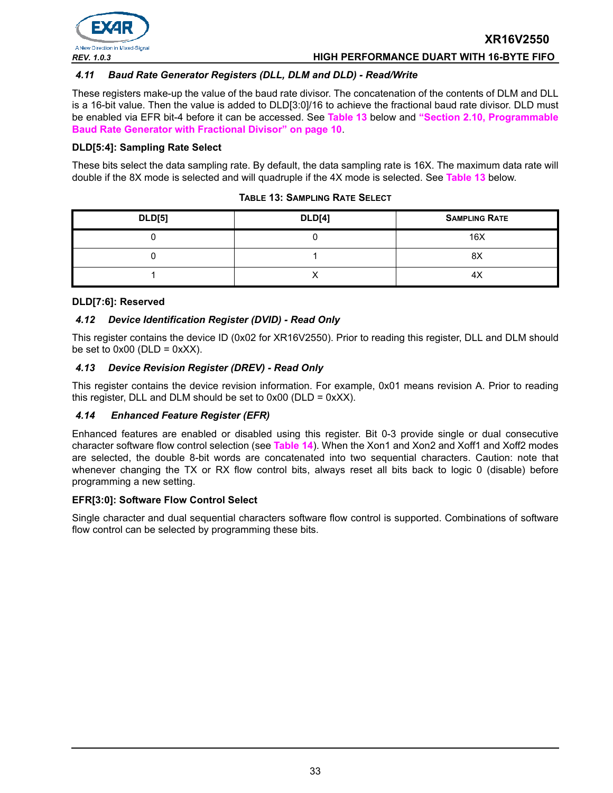

#### *REV. 1.0.3* **HIGH PERFORMANCE DUART WITH 16-BYTE FIFO**

#### *4.11 Baud Rate Generator Registers (DLL, DLM and DLD) - Read/Write*

These registers make-up the value of the baud rate divisor. The concatenation of the contents of DLM and DLL is a 16-bit value. Then the value is added to DLD[3:0]/16 to achieve the fractional baud rate divisor. DLD must be enabled via EFR bit-4 before it can be accessed. See **[Table](#page-32-0) 13** below and **["Section 2.10, Programmable](#page-9-0)  [Baud Rate Generator with Fractional Divisor" on page](#page-9-0) 10**.

#### **DLD[5:4]: Sampling Rate Select**

These bits select the data sampling rate. By default, the data sampling rate is 16X. The maximum data rate will double if the 8X mode is selected and will quadruple if the 4X mode is selected. See **[Table](#page-32-0) 13** below.

#### **TABLE 13: SAMPLING RATE SELECT**

<span id="page-32-0"></span>

| <b>DLD[5]</b> | <b>DLD[4]</b> | <b>SAMPLING RATE</b> |
|---------------|---------------|----------------------|
|               |               | 16X                  |
|               |               | 8X                   |
|               |               | 4X                   |

#### **DLD[7:6]: Reserved**

#### *4.12 Device Identification Register (DVID) - Read Only*

This register contains the device ID (0x02 for XR16V2550). Prior to reading this register, DLL and DLM should be set to  $0x00$  (DLD =  $0xXX$ ).

#### *4.13 Device Revision Register (DREV) - Read Only*

This register contains the device revision information. For example, 0x01 means revision A. Prior to reading this register, DLL and DLM should be set to  $0x00$  (DLD =  $0xXX$ ).

#### *4.14 Enhanced Feature Register (EFR)*

Enhanced features are enabled or disabled using this register. Bit 0-3 provide single or dual consecutive character software flow control selection (see **[Table](#page-33-0) 14**). When the Xon1 and Xon2 and Xoff1 and Xoff2 modes are selected, the double 8-bit words are concatenated into two sequential characters. Caution: note that whenever changing the TX or RX flow control bits, always reset all bits back to logic 0 (disable) before programming a new setting.

#### **EFR[3:0]: Software Flow Control Select**

Single character and dual sequential characters software flow control is supported. Combinations of software flow control can be selected by programming these bits.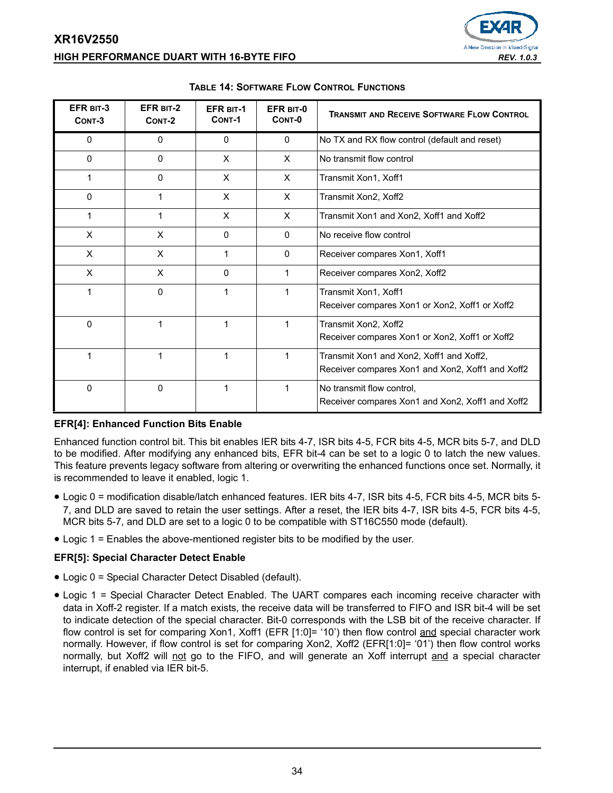

# **XR16V2550 HIGH PERFORMANCE DUART WITH 16-BYTE FIFO** *REV. 1.0.3*

<span id="page-33-0"></span>

| EFR BIT-3<br>CONT-3 | EFR BIT-2<br>CONT-2 | <b>EFR BIT-1</b><br>CONT-1 | EFR BIT-0<br>CONT-0 | <b>TRANSMIT AND RECEIVE SOFTWARE FLOW CONTROL</b>                                            |
|---------------------|---------------------|----------------------------|---------------------|----------------------------------------------------------------------------------------------|
| $\Omega$            | 0                   | 0                          | $\mathbf{0}$        | No TX and RX flow control (default and reset)                                                |
| $\Omega$            | 0                   | X                          | X                   | No transmit flow control                                                                     |
| 1                   | 0                   | X                          | X                   | Transmit Xon1, Xoff1                                                                         |
| $\Omega$            | 1                   | X                          | X                   | Transmit Xon2, Xoff2                                                                         |
| 1                   | 1                   | X                          | X                   | Transmit Xon1 and Xon2, Xoff1 and Xoff2                                                      |
| X                   | X                   | 0                          | $\Omega$            | No receive flow control                                                                      |
| X                   | X                   | 1                          | $\mathbf{0}$        | Receiver compares Xon1, Xoff1                                                                |
| X                   | X                   | 0                          | 1                   | Receiver compares Xon2, Xoff2                                                                |
| 1                   | 0                   | 1                          | 1                   | Transmit Xon1, Xoff1<br>Receiver compares Xon1 or Xon2, Xoff1 or Xoff2                       |
| 0                   | 1                   | 1                          |                     | Transmit Xon2, Xoff2<br>Receiver compares Xon1 or Xon2, Xoff1 or Xoff2                       |
| 1                   | 1                   | 1                          |                     | Transmit Xon1 and Xon2, Xoff1 and Xoff2,<br>Receiver compares Xon1 and Xon2, Xoff1 and Xoff2 |
| 0                   | 0                   | 1                          | 1                   | No transmit flow control.<br>Receiver compares Xon1 and Xon2, Xoff1 and Xoff2                |

#### **TABLE 14: SOFTWARE FLOW CONTROL FUNCTIONS**

# **EFR[4]: Enhanced Function Bits Enable**

Enhanced function control bit. This bit enables IER bits 4-7, ISR bits 4-5, FCR bits 4-5, MCR bits 5-7, and DLD to be modified. After modifying any enhanced bits, EFR bit-4 can be set to a logic 0 to latch the new values. This feature prevents legacy software from altering or overwriting the enhanced functions once set. Normally, it is recommended to leave it enabled, logic 1.

- Logic 0 = modification disable/latch enhanced features. IER bits 4-7, ISR bits 4-5, FCR bits 4-5, MCR bits 5- 7, and DLD are saved to retain the user settings. After a reset, the IER bits 4-7, ISR bits 4-5, FCR bits 4-5, MCR bits 5-7, and DLD are set to a logic 0 to be compatible with ST16C550 mode (default).
- Logic 1 = Enables the above-mentioned register bits to be modified by the user.

# **EFR[5]: Special Character Detect Enable**

- Logic 0 = Special Character Detect Disabled (default).
- Logic 1 = Special Character Detect Enabled. The UART compares each incoming receive character with data in Xoff-2 register. If a match exists, the receive data will be transferred to FIFO and ISR bit-4 will be set to indicate detection of the special character. Bit-0 corresponds with the LSB bit of the receive character. If flow control is set for comparing Xon1, Xoff1 (EFR [1:0]= '10') then flow control and special character work normally. However, if flow control is set for comparing Xon2, Xoff2 (EFR[1:0]= '01') then flow control works normally, but Xoff2 will not go to the FIFO, and will generate an Xoff interrupt and a special character interrupt, if enabled via IER bit-5.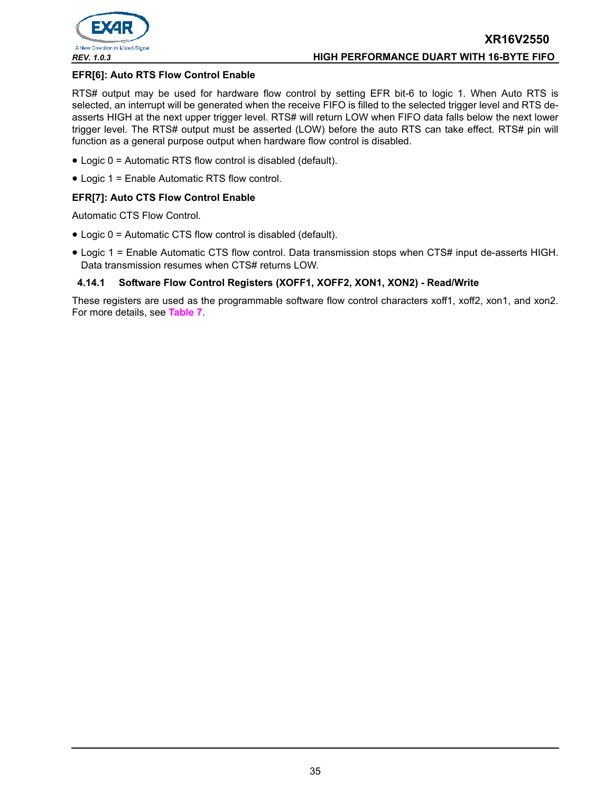

#### **EFR[6]: Auto RTS Flow Control Enable**

RTS# output may be used for hardware flow control by setting EFR bit-6 to logic 1. When Auto RTS is selected, an interrupt will be generated when the receive FIFO is filled to the selected trigger level and RTS deasserts HIGH at the next upper trigger level. RTS# will return LOW when FIFO data falls below the next lower trigger level. The RTS# output must be asserted (LOW) before the auto RTS can take effect. RTS# pin will function as a general purpose output when hardware flow control is disabled.

- Logic 0 = Automatic RTS flow control is disabled (default).
- Logic 1 = Enable Automatic RTS flow control.

#### **EFR[7]: Auto CTS Flow Control Enable**

Automatic CTS Flow Control.

- Logic 0 = Automatic CTS flow control is disabled (default).
- Logic 1 = Enable Automatic CTS flow control. Data transmission stops when CTS# input de-asserts HIGH. Data transmission resumes when CTS# returns LOW.

#### **4.14.1 Software Flow Control Registers (XOFF1, XOFF2, XON1, XON2) - Read/Write**

These registers are used as the programmable software flow control characters xoff1, xoff2, xon1, and xon2. For more details, see **[Table](#page-16-0) 7**.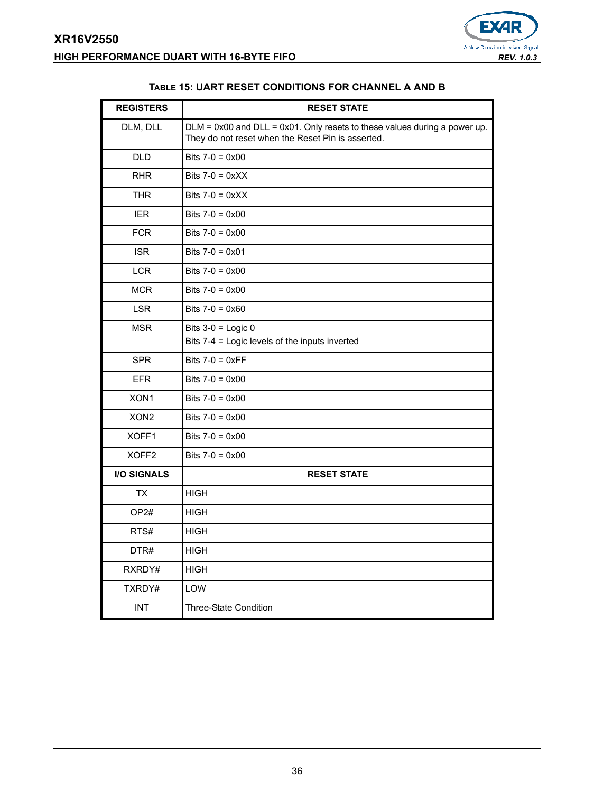

<span id="page-35-0"></span>

| <b>REGISTERS</b>   | <b>RESET STATE</b>                                                                                                                  |
|--------------------|-------------------------------------------------------------------------------------------------------------------------------------|
| DLM, DLL           | $DLM = 0x00$ and $DLL = 0x01$ . Only resets to these values during a power up.<br>They do not reset when the Reset Pin is asserted. |
| <b>DLD</b>         | Bits $7-0 = 0 \times 00$                                                                                                            |
| <b>RHR</b>         | Bits $7-0 = 0 \times X$                                                                                                             |
| <b>THR</b>         | Bits $7-0 = 0 \times XX$                                                                                                            |
| <b>IER</b>         | Bits $7-0 = 0 \times 00$                                                                                                            |
| <b>FCR</b>         | Bits $7-0 = 0 \times 00$                                                                                                            |
| <b>ISR</b>         | Bits $7-0 = 0 \times 01$                                                                                                            |
| <b>LCR</b>         | Bits $7-0 = 0 \times 00$                                                                                                            |
| <b>MCR</b>         | Bits $7-0 = 0 \times 00$                                                                                                            |
| <b>LSR</b>         | Bits $7-0 = 0 \times 60$                                                                                                            |
| <b>MSR</b>         | Bits $3-0$ = Logic 0<br>Bits 7-4 = Logic levels of the inputs inverted                                                              |
| <b>SPR</b>         | Bits $7-0 = 0 \times FF$                                                                                                            |
| <b>EFR</b>         | Bits $7-0 = 0 \times 00$                                                                                                            |
| XON <sub>1</sub>   | Bits $7-0 = 0 \times 00$                                                                                                            |
| XON <sub>2</sub>   | Bits $7-0 = 0 \times 00$                                                                                                            |
| XOFF1              | Bits $7-0 = 0 \times 00$                                                                                                            |
| XOFF <sub>2</sub>  | Bits $7-0 = 0 \times 00$                                                                                                            |
| <b>I/O SIGNALS</b> | <b>RESET STATE</b>                                                                                                                  |
| <b>TX</b>          | <b>HIGH</b>                                                                                                                         |
| OP <sub>2#</sub>   | <b>HIGH</b>                                                                                                                         |
| RTS#               | <b>HIGH</b>                                                                                                                         |
| DTR#               | <b>HIGH</b>                                                                                                                         |
| RXRDY#             | <b>HIGH</b>                                                                                                                         |
| TXRDY#             | LOW                                                                                                                                 |
| <b>INT</b>         | <b>Three-State Condition</b>                                                                                                        |

#### **TABLE 15: UART RESET CONDITIONS FOR CHANNEL A AND B**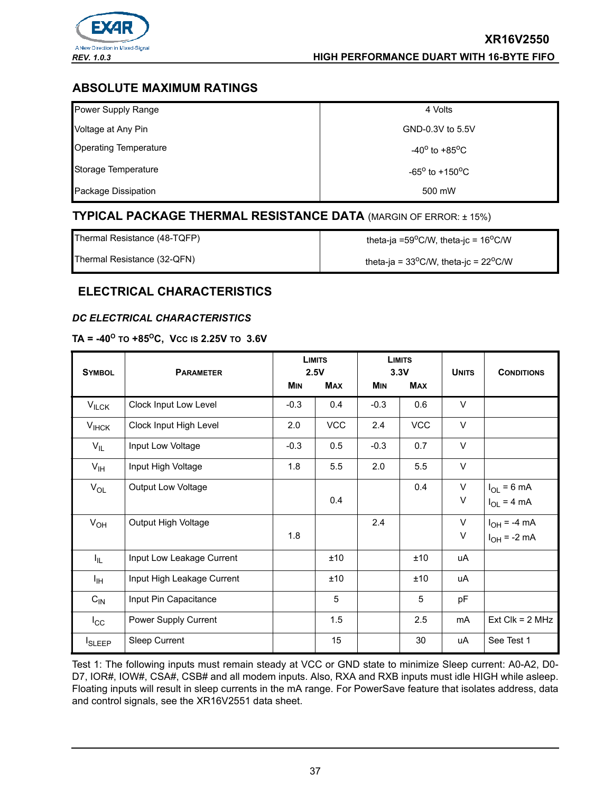

# **ABSOLUTE MAXIMUM RATINGS**

| Power Supply Range           | 4 Volts                           |
|------------------------------|-----------------------------------|
| Voltage at Any Pin           | GND-0.3V to 5.5V                  |
| <b>Operating Temperature</b> | $-40^{\circ}$ to $+85^{\circ}$ C  |
| Storage Temperature          | $-65^{\circ}$ to $+150^{\circ}$ C |
| Package Dissipation          | 500 mW                            |

# **TYPICAL PACKAGE THERMAL RESISTANCE DATA** (MARGIN OF ERROR: ± 15%)

Thermal Resistance (48-TQFP)  $\qquad \qquad$  theta-ja =59<sup>o</sup>C/W, theta-jc = 16<sup>o</sup>C/W

Thermal Resistance (32-QFN) theta-ja =  $33^{\circ}$ C/W, theta-jc =  $22^{\circ}$ C/W

# **ELECTRICAL CHARACTERISTICS**

# <span id="page-36-0"></span>*DC ELECTRICAL CHARACTERISTICS*

# $TA = -40^{\circ}$  то +85 $^{\circ}$ C, Vcc is 2.25V то 3.6V

| <b>SYMBOL</b>   | <b>PARAMETER</b>           | <b>LIMITS</b><br>2.5V |            |            | <b>LIMITS</b><br>3.3V | <b>UNITS</b> | <b>CONDITIONS</b>                    |
|-----------------|----------------------------|-----------------------|------------|------------|-----------------------|--------------|--------------------------------------|
|                 |                            | <b>MIN</b>            | <b>MAX</b> | <b>MIN</b> | <b>MAX</b>            |              |                                      |
| $V_{ILCK}$      | Clock Input Low Level      | $-0.3$                | 0.4        | $-0.3$     | 0.6                   | V            |                                      |
| $V_{HCK}$       | Clock Input High Level     | 2.0                   | <b>VCC</b> | 2.4        | <b>VCC</b>            | V            |                                      |
| $V_{IL}$        | Input Low Voltage          | $-0.3$                | 0.5        | $-0.3$     | 0.7                   | V            |                                      |
| $V_{\text{IH}}$ | Input High Voltage         | 1.8                   | 5.5        | 2.0        | 5.5                   | $\vee$       |                                      |
| $V_{OL}$        | Output Low Voltage         |                       | 0.4        |            | 0.4                   | V<br>V       | $I_{OL}$ = 6 mA<br>$I_{OL}$ = 4 mA   |
| $V_{OH}$        | Output High Voltage        | 1.8                   |            | 2.4        |                       | V<br>V       | $I_{OH}$ = -4 mA<br>$I_{OH}$ = -2 mA |
| ΙL.             | Input Low Leakage Current  |                       | ±10        |            | ±10                   | uA           |                                      |
| ŀщ              | Input High Leakage Current |                       | ±10        |            | ±10                   | uA           |                                      |
| $C_{IN}$        | Input Pin Capacitance      |                       | 5          |            | 5                     | pF           |                                      |
| $I_{\rm CC}$    | Power Supply Current       |                       | 1.5        |            | 2.5                   | mA           | $Ext$ Clk = 2 MHz                    |
| <b>I</b> SLEEP  | Sleep Current              |                       | 15         |            | 30                    | uA           | See Test 1                           |

Test 1: The following inputs must remain steady at VCC or GND state to minimize Sleep current: A0-A2, D0- D7, IOR#, IOW#, CSA#, CSB# and all modem inputs. Also, RXA and RXB inputs must idle HIGH while asleep. Floating inputs will result in sleep currents in the mA range. For PowerSave feature that isolates address, data and control signals, see the XR16V2551 data sheet.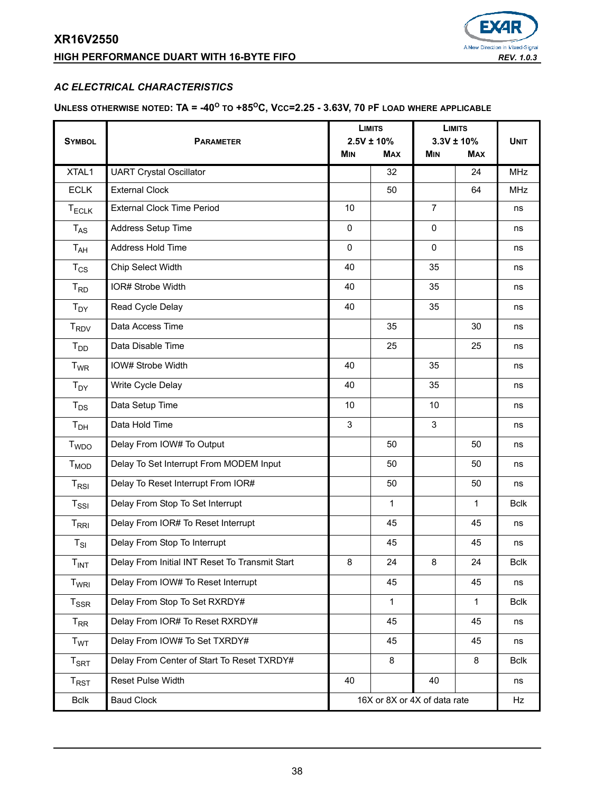# **HIGH PERFORMANCE DUART WITH 16-BYTE FIFO** *REV. 1.0.3*



# *AC ELECTRICAL CHARACTERISTICS*

# **UNLESS OTHERWISE NOTED: TA = -40<sup>O</sup> TO +85OC, VCC=2.25 - 3.63V, 70 PF LOAD WHERE APPLICABLE**

|                             |                                                | <b>LIMITS</b>                |                               | <b>LIMITS</b>  |                              |             |
|-----------------------------|------------------------------------------------|------------------------------|-------------------------------|----------------|------------------------------|-------------|
| <b>SYMBOL</b>               | <b>PARAMETER</b>                               |                              | $2.5V \pm 10\%$<br><b>MAX</b> | <b>MIN</b>     | $3.3V \pm 10%$<br><b>MAX</b> | <b>UNIT</b> |
|                             |                                                | <b>MIN</b>                   |                               |                |                              |             |
| XTAL1                       | <b>UART Crystal Oscillator</b>                 |                              | 32                            |                | 24                           | <b>MHz</b>  |
| <b>ECLK</b>                 | <b>External Clock</b>                          |                              | 50                            |                | 64                           | <b>MHz</b>  |
| <b>TECLK</b>                | <b>External Clock Time Period</b>              | 10                           |                               | $\overline{7}$ |                              | ns          |
| $T_{AS}$                    | Address Setup Time                             | $\mathbf 0$                  |                               | $\mathbf 0$    |                              | ns          |
| T <sub>AH</sub>             | Address Hold Time                              | $\Omega$                     |                               | $\Omega$       |                              | ns          |
| $T_{CS}$                    | Chip Select Width                              | 40                           |                               | 35             |                              | ns          |
| $T_{RD}$                    | IOR# Strobe Width                              | 40                           |                               | 35             |                              | ns          |
| $T_{DY}$                    | Read Cycle Delay                               | 40                           |                               | 35             |                              | ns          |
| $T_{\mathsf{RDV}}$          | Data Access Time                               |                              | 35                            |                | 30                           | ns          |
| $T_{DD}$                    | Data Disable Time                              |                              | 25                            |                | 25                           | ns          |
| <b>T<sub>WR</sub></b>       | IOW# Strobe Width                              |                              |                               | 35             |                              | ns          |
| $T_{DY}$                    | Write Cycle Delay                              | 40                           |                               | 35             |                              | ns          |
| $T_{DS}$                    | Data Setup Time                                | 10                           |                               | 10             |                              | ns          |
| T <sub>DH</sub>             | Data Hold Time                                 | 3                            |                               | 3              |                              | ns          |
| <b>T</b> <sub>WDO</sub>     | Delay From IOW# To Output                      |                              | 50                            |                | 50                           | ns          |
| $T_{MOD}$                   | Delay To Set Interrupt From MODEM Input        |                              | 50                            |                | 50                           | ns          |
| $T_{RSI}$                   | Delay To Reset Interrupt From IOR#             |                              | 50                            |                | 50                           | ns          |
| $T_{\rm SSI}$               | Delay From Stop To Set Interrupt               |                              | 1                             |                | 1                            | <b>Bclk</b> |
| $T_{\sf RRI}$               | Delay From IOR# To Reset Interrupt             |                              | 45                            |                | 45                           | ns          |
| $T_{SI}$                    | Delay From Stop To Interrupt                   |                              | 45                            |                | 45                           | ns          |
| T <sub>INT</sub>            | Delay From Initial INT Reset To Transmit Start |                              | 24                            | 8              | 24                           | <b>Bclk</b> |
| T <sub>WRI</sub>            | Delay From IOW# To Reset Interrupt             |                              | 45                            |                | 45                           | ns          |
| $T_{SSR}$                   | Delay From Stop To Set RXRDY#                  |                              | $\mathbf{1}$                  |                | $\mathbf{1}$                 | <b>Bclk</b> |
| $T_{RR}$                    | Delay From IOR# To Reset RXRDY#                |                              | 45                            |                | 45                           | ns          |
| <b>T<sub>WT</sub></b>       | Delay From IOW# To Set TXRDY#                  |                              | 45                            |                | 45                           | ns          |
| $T_{\footnotesize\rm SRT}$  | Delay From Center of Start To Reset TXRDY#     |                              | 8                             |                | 8                            | <b>Bclk</b> |
| $\mathsf{T}_{\mathsf{RST}}$ | Reset Pulse Width                              | 40                           |                               | 40             |                              | ns          |
| <b>Bclk</b>                 | <b>Baud Clock</b>                              | 16X or 8X or 4X of data rate |                               |                | Hz                           |             |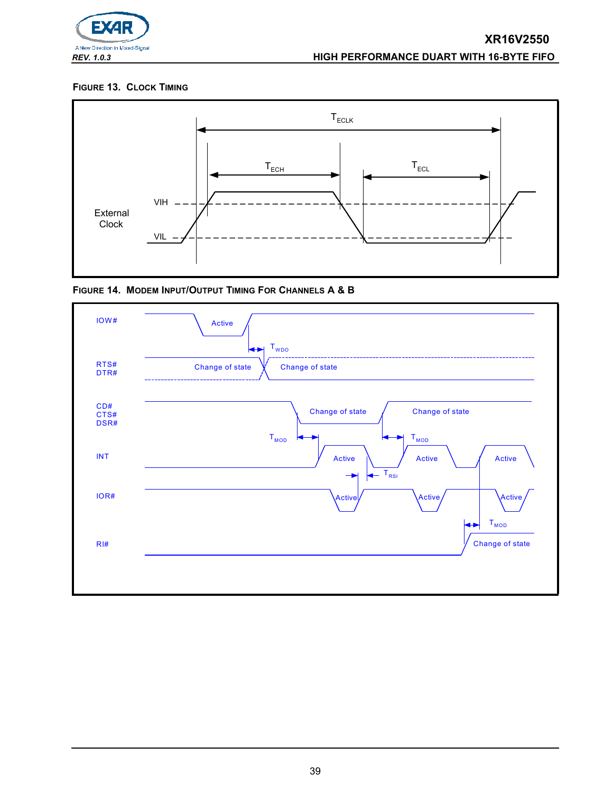

## **FIGURE 13. CLOCK TIMING**



**FIGURE 14. MODEM INPUT/OUTPUT TIMING FOR CHANNELS A & B**

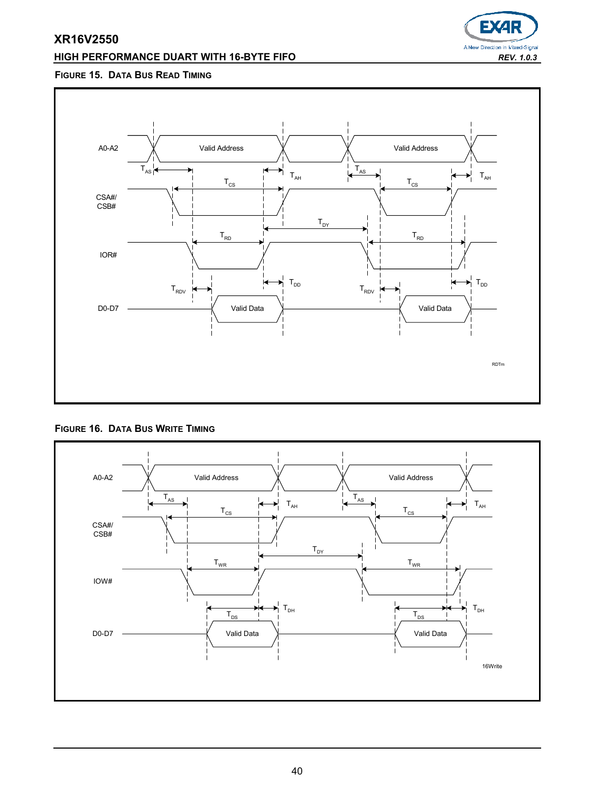# **HIGH PERFORMANCE DUART WITH 16-BYTE FIFO** *REV. 1.0.3*



# **FIGURE 15. DATA BUS READ TIMING**



#### **FIGURE 16. DATA BUS WRITE TIMING**

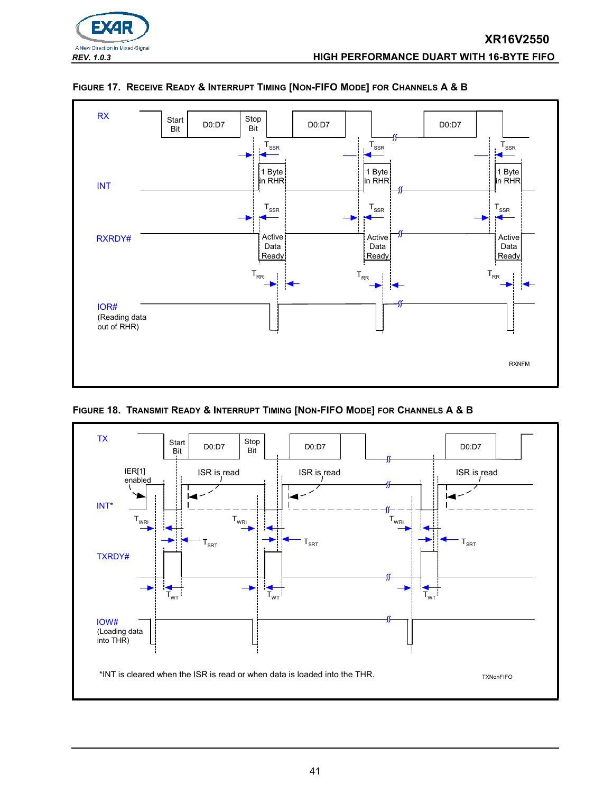



#### <span id="page-40-0"></span>**FIGURE 17. RECEIVE READY & INTERRUPT TIMING [NON-FIFO MODE] FOR CHANNELS A & B**

**FIGURE 18. TRANSMIT READY & INTERRUPT TIMING [NON-FIFO MODE] FOR CHANNELS A & B**

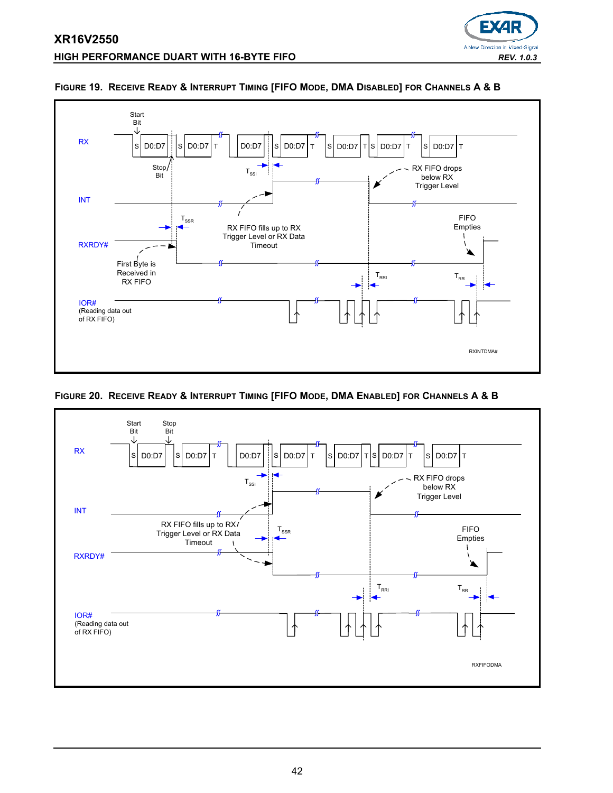



#### **FIGURE 19. RECEIVE READY & INTERRUPT TIMING [FIFO MODE, DMA DISABLED] FOR CHANNELS A & B**

# **FIGURE 20. RECEIVE READY & INTERRUPT TIMING [FIFO MODE, DMA ENABLED] FOR CHANNELS A & B**

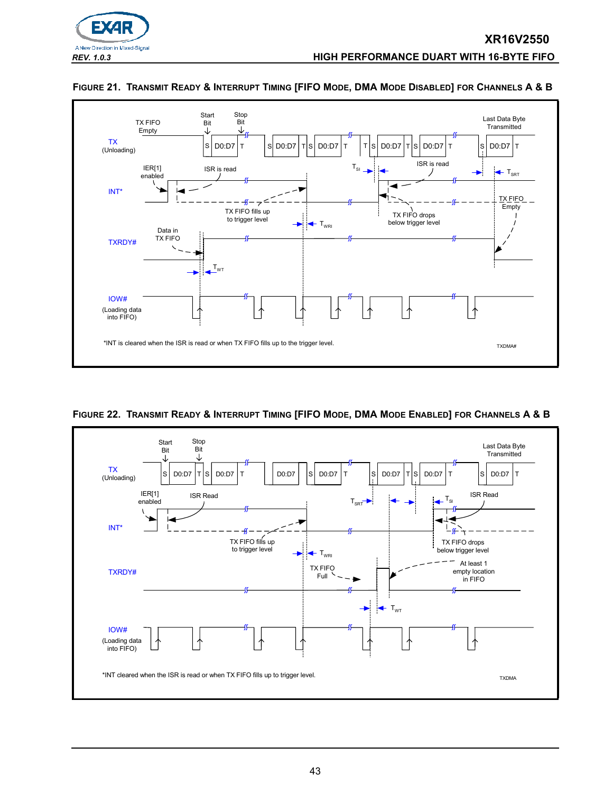





#### **FIGURE 21. TRANSMIT READY & INTERRUPT TIMING [FIFO MODE, DMA MODE DISABLED] FOR CHANNELS A & B**

<span id="page-42-0"></span>**FIGURE 22. TRANSMIT READY & INTERRUPT TIMING [FIFO MODE, DMA MODE ENABLED] FOR CHANNELS A & B**

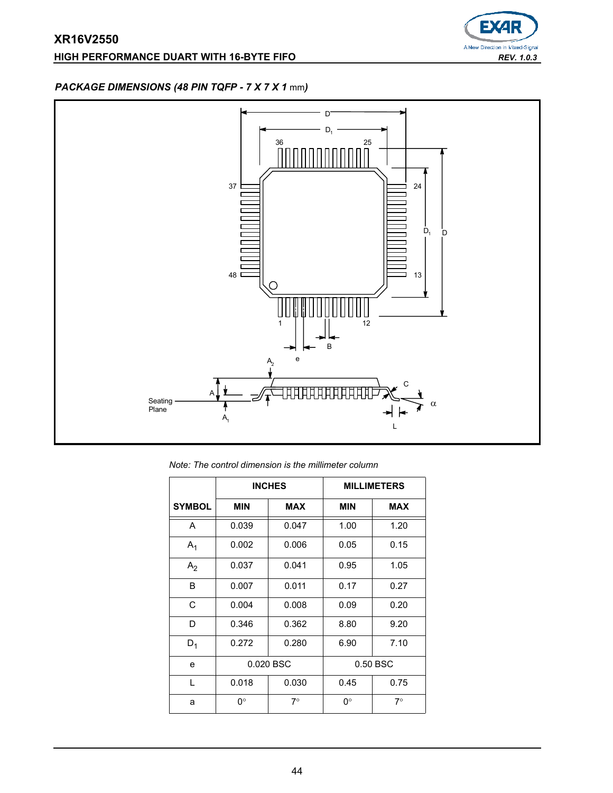# **HIGH PERFORMANCE DUART WITH 16-BYTE FIFO** *REV. 1.0.3*



# *PACKAGE DIMENSIONS (48 PIN TQFP - 7 X 7 X 1* mm*)*



*Note: The control dimension is the millimeter column*

|                |            | <b>INCHES</b> |              | <b>MILLIMETERS</b> |
|----------------|------------|---------------|--------------|--------------------|
| <b>SYMBOL</b>  | <b>MIN</b> | <b>MAX</b>    | <b>MIN</b>   | <b>MAX</b>         |
| A              | 0.039      | 0.047         | 1.00         | 1.20               |
| A <sub>1</sub> | 0.002      | 0.006         | 0.05         | 0.15               |
| A <sub>2</sub> | 0.037      | 0.041         | 0.95         | 1.05               |
| B              | 0.007      | 0.011         | 0.17         | 0.27               |
| C              | 0.004      | 0.008         | 0.09         | 0.20               |
| D              | 0.346      | 0.362         | 8.80         | 9.20               |
| $D_1$          | 0.272      | 0.280         | 6.90         | 7.10               |
| e              | 0.020 BSC  |               |              | 0.50 BSC           |
| $\mathbf{L}$   | 0.018      | 0.030         | 0.75<br>0.45 |                    |
| a              | 0°         | $7^\circ$     | 0°           | $7^{\circ}$        |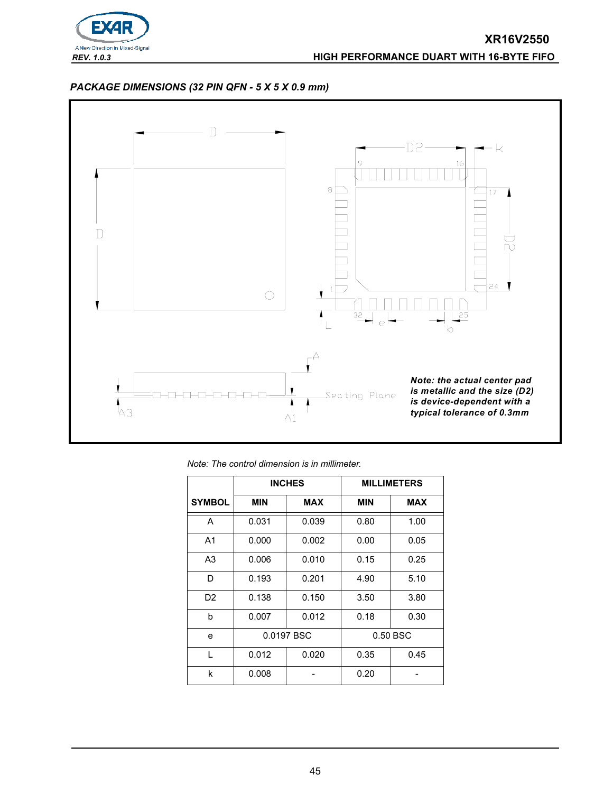

# *PACKAGE DIMENSIONS (32 PIN QFN - 5 X 5 X 0.9 mm)*



|  |  |  | Note: The control dimension is in millimeter. |  |
|--|--|--|-----------------------------------------------|--|
|  |  |  |                                               |  |

|                |                          | <b>INCHES</b> | <b>MILLIMETERS</b> |            |  |  |
|----------------|--------------------------|---------------|--------------------|------------|--|--|
| <b>SYMBOL</b>  | <b>MIN</b><br><b>MAX</b> |               | <b>MIN</b>         | <b>MAX</b> |  |  |
| A              | 0.031                    | 0.039         | 0.80               | 1.00       |  |  |
| A <sub>1</sub> | 0.000                    | 0.002         | 0.00               | 0.05       |  |  |
| A <sub>3</sub> | 0.006                    | 0.010         | 0.15               | 0.25       |  |  |
| D              | 0.193                    | 0.201         | 4.90               | 5.10       |  |  |
| D2             | 0.138                    | 0.150         | 3.50               | 3.80       |  |  |
| b              | 0.007                    | 0.012         | 0.18               | 0.30       |  |  |
| e              |                          | 0.0197 BSC    |                    | 0.50 BSC   |  |  |
| L              | 0.012                    | 0.020         | 0.35               | 0.45       |  |  |
| k              | 0.008                    |               | 0.20               |            |  |  |